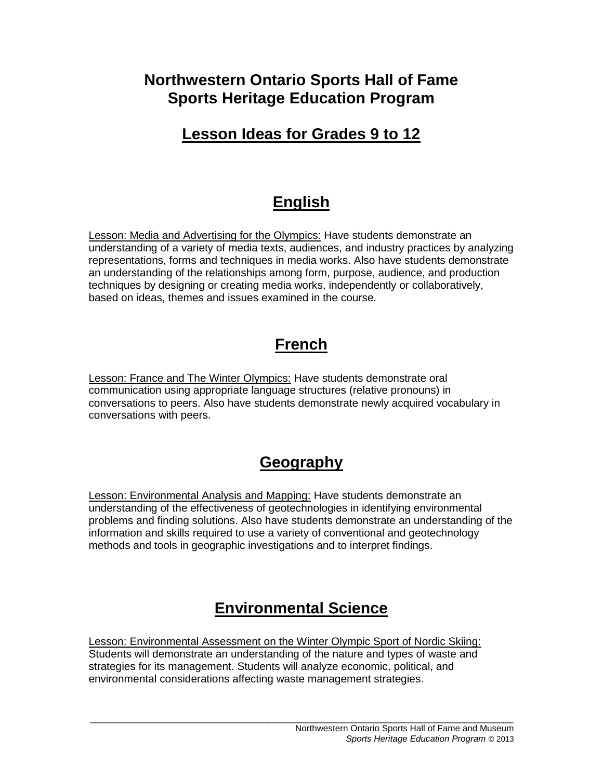## **Northwestern Ontario Sports Hall of Fame Sports Heritage Education Program**

# **Lesson Ideas for Grades 9 to 12**

# **English**

Lesson: Media and Advertising for the Olympics: Have students demonstrate an understanding of a variety of media texts, audiences, and industry practices by analyzing representations, forms and techniques in media works. Also have students demonstrate an understanding of the relationships among form, purpose, audience, and production techniques by designing or creating media works, independently or collaboratively, based on ideas, themes and issues examined in the course.

# **French**

Lesson: France and The Winter Olympics: Have students demonstrate oral communication using appropriate language structures (relative pronouns) in conversations to peers. Also have students demonstrate newly acquired vocabulary in conversations with peers.

## **Geography**

Lesson: Environmental Analysis and Mapping: Have students demonstrate an understanding of the effectiveness of geotechnologies in identifying environmental problems and finding solutions. Also have students demonstrate an understanding of the information and skills required to use a variety of conventional and geotechnology methods and tools in geographic investigations and to interpret findings.

# **Environmental Science**

\_\_\_\_\_\_\_\_\_\_\_\_\_\_\_\_\_\_\_\_\_\_\_\_\_\_\_\_\_\_\_\_\_\_\_\_\_\_\_\_\_\_\_\_\_\_\_\_\_\_\_\_\_\_\_\_\_\_\_\_\_\_\_\_\_\_\_\_\_\_\_\_\_\_\_\_\_\_\_\_\_\_\_\_\_\_

Lesson: Environmental Assessment on the Winter Olympic Sport of Nordic Skiing: Students will demonstrate an understanding of the nature and types of waste and strategies for its management. Students will analyze economic, political, and environmental considerations affecting waste management strategies.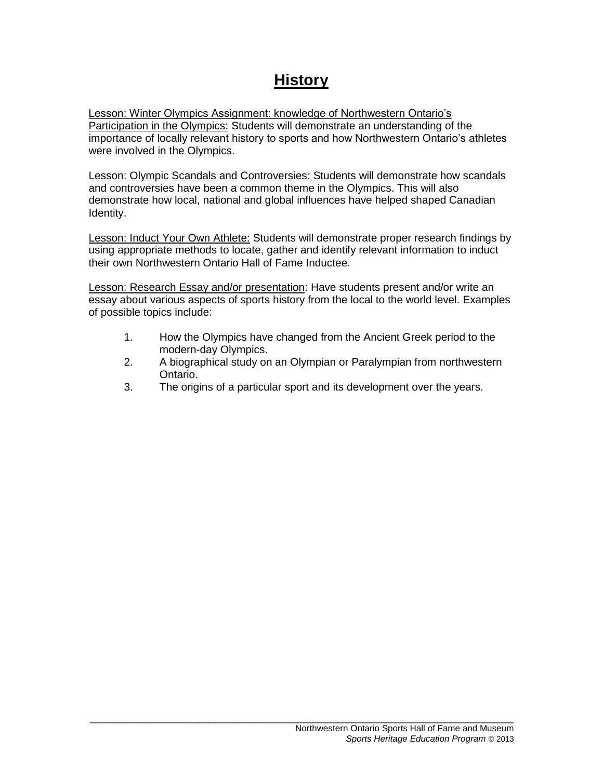# **History**

Lesson: Winter Olympics Assignment: knowledge of Northwestern Ontario's Participation in the Olympics: Students will demonstrate an understanding of the importance of locally relevant history to sports and how Northwestern Ontario's athletes were involved in the Olympics.

Lesson: Olympic Scandals and Controversies: Students will demonstrate how scandals and controversies have been a common theme in the Olympics. This will also demonstrate how local, national and global influences have helped shaped Canadian Identity.

Lesson: Induct Your Own Athlete: Students will demonstrate proper research findings by using appropriate methods to locate, gather and identify relevant information to induct their own Northwestern Ontario Hall of Fame Inductee.

Lesson: Research Essay and/or presentation: Have students present and/or write an essay about various aspects of sports history from the local to the world level. Examples of possible topics include:

- 1. How the Olympics have changed from the Ancient Greek period to the modern-day Olympics.
- 2. A biographical study on an Olympian or Paralympian from northwestern Ontario.
- 3. The origins of a particular sport and its development over the years.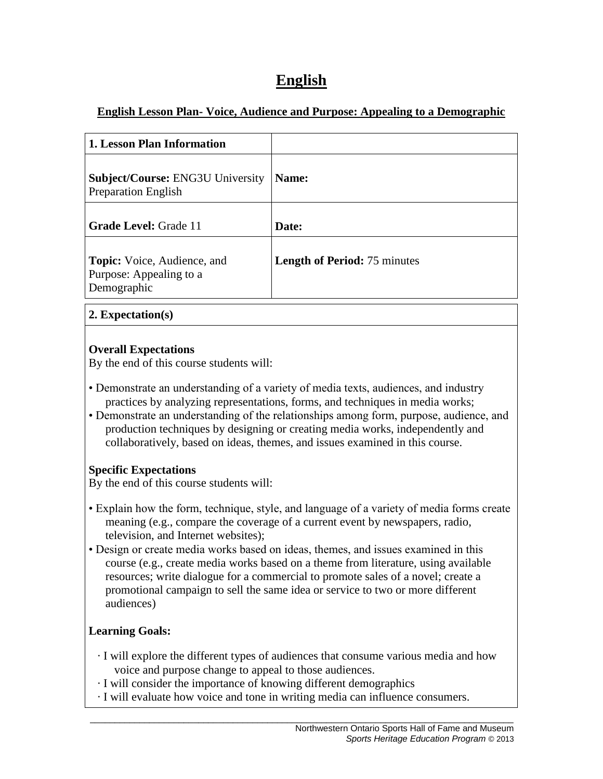## **English**

## **English Lesson Plan- Voice, Audience and Purpose: Appealing to a Demographic**

| 1. Lesson Plan Information                                                   |                                     |
|------------------------------------------------------------------------------|-------------------------------------|
| <b>Subject/Course: ENG3U University</b><br><b>Preparation English</b>        | Name:                               |
| <b>Grade Level: Grade 11</b>                                                 | Date:                               |
| <b>Topic:</b> Voice, Audience, and<br>Purpose: Appealing to a<br>Demographic | <b>Length of Period:</b> 75 minutes |

## **2. Expectation(s)**

## **Overall Expectations**

By the end of this course students will:

- Demonstrate an understanding of a variety of media texts, audiences, and industry practices by analyzing representations, forms, and techniques in media works;
- Demonstrate an understanding of the relationships among form, purpose, audience, and production techniques by designing or creating media works, independently and collaboratively, based on ideas, themes, and issues examined in this course.

## **Specific Expectations**

By the end of this course students will:

- Explain how the form, technique, style, and language of a variety of media forms create meaning (e.g., compare the coverage of a current event by newspapers, radio, television, and Internet websites);
- Design or create media works based on ideas, themes, and issues examined in this course (e.g., create media works based on a theme from literature, using available resources; write dialogue for a commercial to promote sales of a novel; create a promotional campaign to sell the same idea or service to two or more different audiences)

## **Learning Goals:**

- · I will explore the different types of audiences that consume various media and how voice and purpose change to appeal to those audiences.
- · I will consider the importance of knowing different demographics
- · I will evaluate how voice and tone in writing media can influence consumers.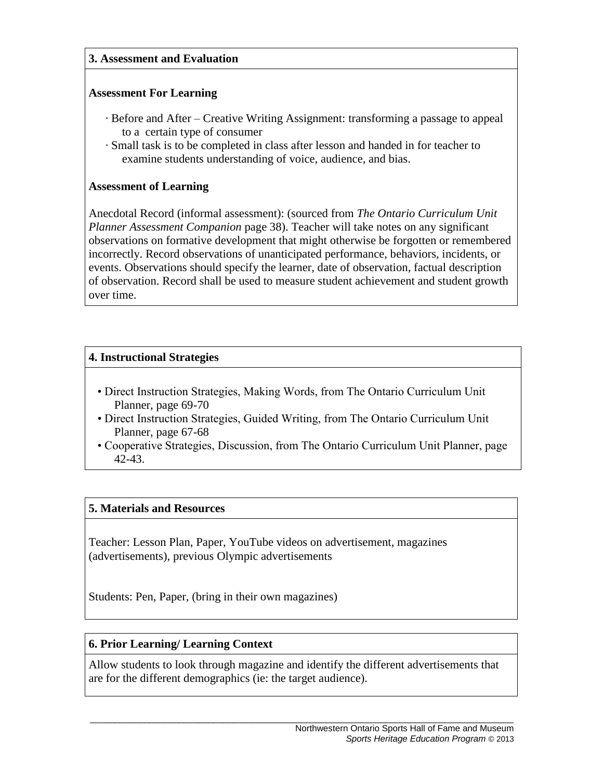#### **3. Assessment and Evaluation**

#### **Assessment For Learning**

- · Before and After Creative Writing Assignment: transforming a passage to appeal to a certain type of consumer
- · Small task is to be completed in class after lesson and handed in for teacher to examine students understanding of voice, audience, and bias.

#### **Assessment of Learning**

Anecdotal Record (informal assessment): (sourced from *The Ontario Curriculum Unit Planner Assessment Companion* page 38). Teacher will take notes on any significant observations on formative development that might otherwise be forgotten or remembered incorrectly. Record observations of unanticipated performance, behaviors, incidents, or events. Observations should specify the learner, date of observation, factual description of observation. Record shall be used to measure student achievement and student growth over time.

#### **4. Instructional Strategies**

- Direct Instruction Strategies, Making Words, from The Ontario Curriculum Unit Planner, page 69-70
- Direct Instruction Strategies, Guided Writing, from The Ontario Curriculum Unit Planner, page 67-68
- Cooperative Strategies, Discussion, from The Ontario Curriculum Unit Planner, page 42-43.

#### **5. Materials and Resources**

Teacher: Lesson Plan, Paper, YouTube videos on advertisement, magazines (advertisements), previous Olympic advertisements

Students: Pen, Paper, (bring in their own magazines)

#### **6. Prior Learning/ Learning Context**

Allow students to look through magazine and identify the different advertisements that are for the different demographics (ie: the target audience).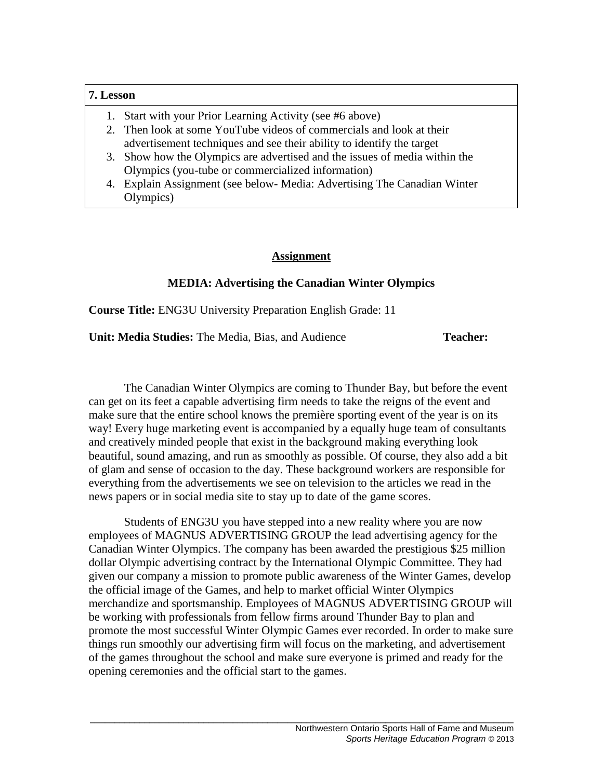#### **7. Lesson**

- 1. Start with your Prior Learning Activity (see #6 above)
- 2. Then look at some YouTube videos of commercials and look at their advertisement techniques and see their ability to identify the target
- 3. Show how the Olympics are advertised and the issues of media within the Olympics (you-tube or commercialized information)
- 4. Explain Assignment (see below- Media: Advertising The Canadian Winter Olympics)

#### **Assignment**

#### **MEDIA: Advertising the Canadian Winter Olympics**

**Course Title:** ENG3U University Preparation English Grade: 11

**Unit: Media Studies:** The Media, Bias, and Audience **Teacher:** 

The Canadian Winter Olympics are coming to Thunder Bay, but before the event can get on its feet a capable advertising firm needs to take the reigns of the event and make sure that the entire school knows the première sporting event of the year is on its way! Every huge marketing event is accompanied by a equally huge team of consultants and creatively minded people that exist in the background making everything look beautiful, sound amazing, and run as smoothly as possible. Of course, they also add a bit of glam and sense of occasion to the day. These background workers are responsible for everything from the advertisements we see on television to the articles we read in the news papers or in social media site to stay up to date of the game scores.

Students of ENG3U you have stepped into a new reality where you are now employees of MAGNUS ADVERTISING GROUP the lead advertising agency for the Canadian Winter Olympics. The company has been awarded the prestigious \$25 million dollar Olympic advertising contract by the International Olympic Committee. They had given our company a mission to promote public awareness of the Winter Games, develop the official image of the Games, and help to market official Winter Olympics merchandize and sportsmanship. Employees of MAGNUS ADVERTISING GROUP will be working with professionals from fellow firms around Thunder Bay to plan and promote the most successful Winter Olympic Games ever recorded. In order to make sure things run smoothly our advertising firm will focus on the marketing, and advertisement of the games throughout the school and make sure everyone is primed and ready for the opening ceremonies and the official start to the games.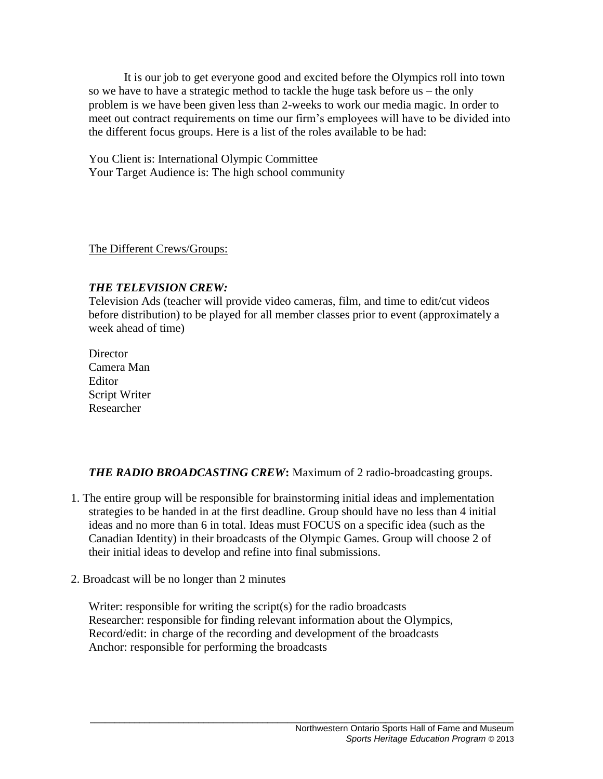It is our job to get everyone good and excited before the Olympics roll into town so we have to have a strategic method to tackle the huge task before us – the only problem is we have been given less than 2-weeks to work our media magic. In order to meet out contract requirements on time our firm's employees will have to be divided into the different focus groups. Here is a list of the roles available to be had:

You Client is: International Olympic Committee Your Target Audience is: The high school community

The Different Crews/Groups:

#### *THE TELEVISION CREW:*

Television Ads (teacher will provide video cameras, film, and time to edit/cut videos before distribution) to be played for all member classes prior to event (approximately a week ahead of time)

**Director** Camera Man Editor Script Writer Researcher

*THE RADIO BROADCASTING CREW***:** Maximum of 2 radio-broadcasting groups.

- 1. The entire group will be responsible for brainstorming initial ideas and implementation strategies to be handed in at the first deadline. Group should have no less than 4 initial ideas and no more than 6 in total. Ideas must FOCUS on a specific idea (such as the Canadian Identity) in their broadcasts of the Olympic Games. Group will choose 2 of their initial ideas to develop and refine into final submissions.
- 2. Broadcast will be no longer than 2 minutes

Writer: responsible for writing the script(s) for the radio broadcasts Researcher: responsible for finding relevant information about the Olympics, Record/edit: in charge of the recording and development of the broadcasts Anchor: responsible for performing the broadcasts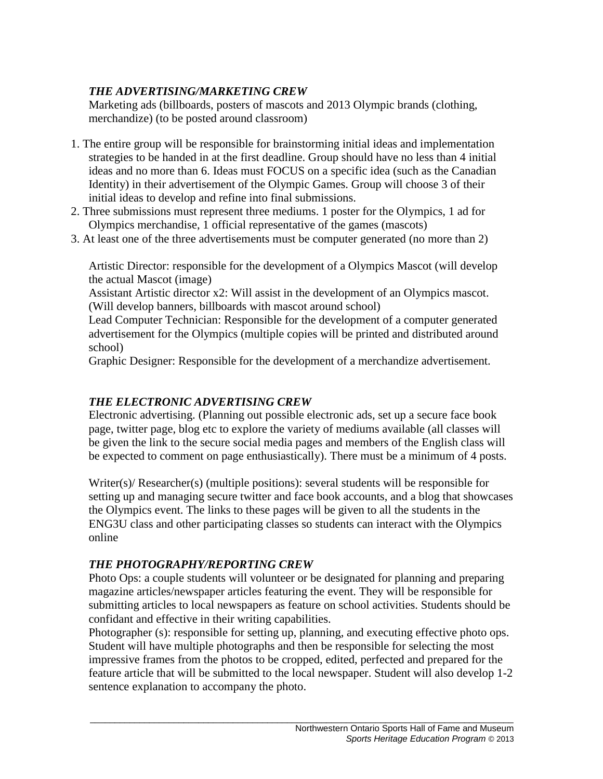## *THE ADVERTISING/MARKETING CREW*

Marketing ads (billboards, posters of mascots and 2013 Olympic brands (clothing, merchandize) (to be posted around classroom)

- 1. The entire group will be responsible for brainstorming initial ideas and implementation strategies to be handed in at the first deadline. Group should have no less than 4 initial ideas and no more than 6. Ideas must FOCUS on a specific idea (such as the Canadian Identity) in their advertisement of the Olympic Games. Group will choose 3 of their initial ideas to develop and refine into final submissions.
- 2. Three submissions must represent three mediums. 1 poster for the Olympics, 1 ad for Olympics merchandise, 1 official representative of the games (mascots)
- 3. At least one of the three advertisements must be computer generated (no more than 2)

Artistic Director: responsible for the development of a Olympics Mascot (will develop the actual Mascot (image)

Assistant Artistic director x2: Will assist in the development of an Olympics mascot. (Will develop banners, billboards with mascot around school)

Lead Computer Technician: Responsible for the development of a computer generated advertisement for the Olympics (multiple copies will be printed and distributed around school)

Graphic Designer: Responsible for the development of a merchandize advertisement.

## *THE ELECTRONIC ADVERTISING CREW*

Electronic advertising. (Planning out possible electronic ads, set up a secure face book page, twitter page, blog etc to explore the variety of mediums available (all classes will be given the link to the secure social media pages and members of the English class will be expected to comment on page enthusiastically). There must be a minimum of 4 posts.

 $Writer(s)/$  Researcher(s) (multiple positions): several students will be responsible for setting up and managing secure twitter and face book accounts, and a blog that showcases the Olympics event. The links to these pages will be given to all the students in the ENG3U class and other participating classes so students can interact with the Olympics online

## *THE PHOTOGRAPHY/REPORTING CREW*

Photo Ops: a couple students will volunteer or be designated for planning and preparing magazine articles/newspaper articles featuring the event. They will be responsible for submitting articles to local newspapers as feature on school activities. Students should be confidant and effective in their writing capabilities.

Photographer (s): responsible for setting up, planning, and executing effective photo ops. Student will have multiple photographs and then be responsible for selecting the most impressive frames from the photos to be cropped, edited, perfected and prepared for the feature article that will be submitted to the local newspaper. Student will also develop 1-2 sentence explanation to accompany the photo.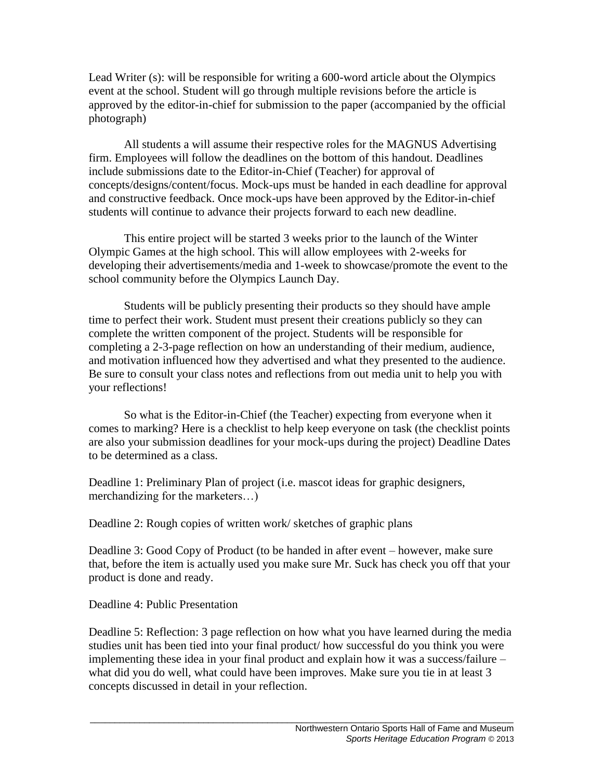Lead Writer (s): will be responsible for writing a 600-word article about the Olympics event at the school. Student will go through multiple revisions before the article is approved by the editor-in-chief for submission to the paper (accompanied by the official photograph)

All students a will assume their respective roles for the MAGNUS Advertising firm. Employees will follow the deadlines on the bottom of this handout. Deadlines include submissions date to the Editor-in-Chief (Teacher) for approval of concepts/designs/content/focus. Mock-ups must be handed in each deadline for approval and constructive feedback. Once mock-ups have been approved by the Editor-in-chief students will continue to advance their projects forward to each new deadline.

This entire project will be started 3 weeks prior to the launch of the Winter Olympic Games at the high school. This will allow employees with 2-weeks for developing their advertisements/media and 1-week to showcase/promote the event to the school community before the Olympics Launch Day.

Students will be publicly presenting their products so they should have ample time to perfect their work. Student must present their creations publicly so they can complete the written component of the project. Students will be responsible for completing a 2-3-page reflection on how an understanding of their medium, audience, and motivation influenced how they advertised and what they presented to the audience. Be sure to consult your class notes and reflections from out media unit to help you with your reflections!

So what is the Editor-in-Chief (the Teacher) expecting from everyone when it comes to marking? Here is a checklist to help keep everyone on task (the checklist points are also your submission deadlines for your mock-ups during the project) Deadline Dates to be determined as a class.

Deadline 1: Preliminary Plan of project (i.e. mascot ideas for graphic designers, merchandizing for the marketers…)

Deadline 2: Rough copies of written work/ sketches of graphic plans

Deadline 3: Good Copy of Product (to be handed in after event – however, make sure that, before the item is actually used you make sure Mr. Suck has check you off that your product is done and ready.

Deadline 4: Public Presentation

Deadline 5: Reflection: 3 page reflection on how what you have learned during the media studies unit has been tied into your final product/ how successful do you think you were implementing these idea in your final product and explain how it was a success/failure – what did you do well, what could have been improves. Make sure you tie in at least 3 concepts discussed in detail in your reflection.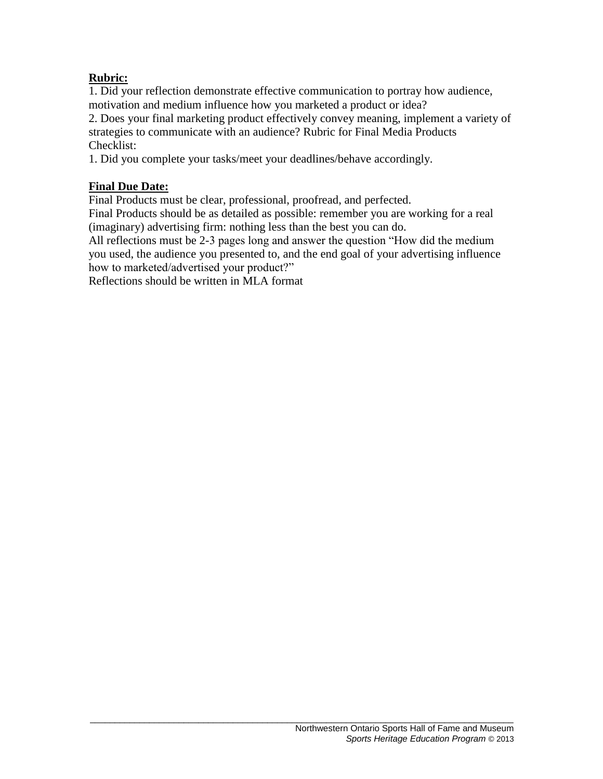## **Rubric:**

1. Did your reflection demonstrate effective communication to portray how audience, motivation and medium influence how you marketed a product or idea?

2. Does your final marketing product effectively convey meaning, implement a variety of strategies to communicate with an audience? Rubric for Final Media Products Checklist:

1. Did you complete your tasks/meet your deadlines/behave accordingly.

## **Final Due Date:**

Final Products must be clear, professional, proofread, and perfected.

Final Products should be as detailed as possible: remember you are working for a real (imaginary) advertising firm: nothing less than the best you can do.

All reflections must be 2-3 pages long and answer the question "How did the medium you used, the audience you presented to, and the end goal of your advertising influence how to marketed/advertised your product?"

\_\_\_\_\_\_\_\_\_\_\_\_\_\_\_\_\_\_\_\_\_\_\_\_\_\_\_\_\_\_\_\_\_\_\_\_\_\_\_\_\_\_\_\_\_\_\_\_\_\_\_\_\_\_\_\_\_\_\_\_\_\_\_\_\_\_\_\_\_\_\_\_\_\_\_\_\_\_\_\_\_\_\_\_\_\_

Reflections should be written in MLA format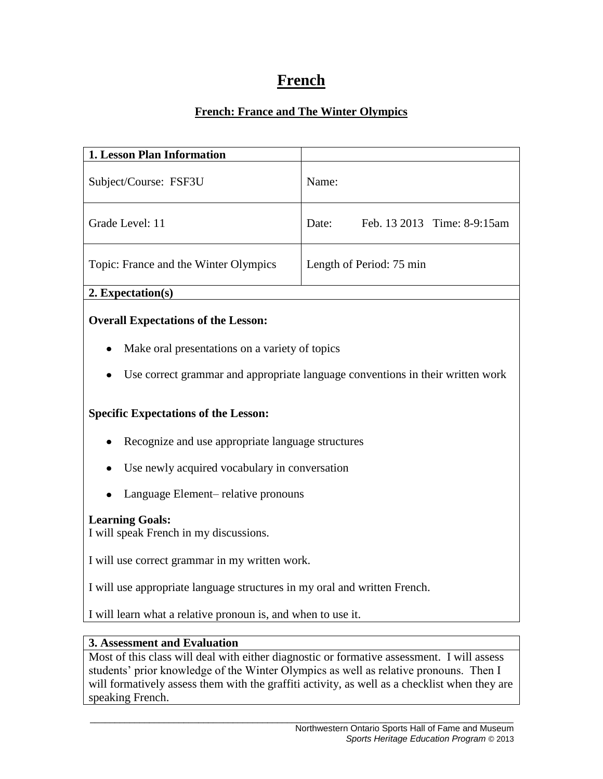## **French**

## **French: France and The Winter Olympics**

| 1. Lesson Plan Information                                                     |                                      |  |  |  |
|--------------------------------------------------------------------------------|--------------------------------------|--|--|--|
| Subject/Course: FSF3U                                                          | Name:                                |  |  |  |
| Grade Level: 11                                                                | Feb. 13 2013 Time: 8-9:15am<br>Date: |  |  |  |
| Topic: France and the Winter Olympics                                          | Length of Period: 75 min             |  |  |  |
| 2. Expectation(s)                                                              |                                      |  |  |  |
| <b>Overall Expectations of the Lesson:</b>                                     |                                      |  |  |  |
| Make oral presentations on a variety of topics                                 |                                      |  |  |  |
| Use correct grammar and appropriate language conventions in their written work |                                      |  |  |  |
| <b>Specific Expectations of the Lesson:</b>                                    |                                      |  |  |  |
| Recognize and use appropriate language structures                              |                                      |  |  |  |
| Use newly acquired vocabulary in conversation                                  |                                      |  |  |  |
|                                                                                | Language Element-relative pronouns   |  |  |  |
| <b>Learning Goals:</b><br>I will speak French in my discussions.               |                                      |  |  |  |
| I will use correct grammar in my written work.                                 |                                      |  |  |  |
| I will use appropriate language structures in my oral and written French.      |                                      |  |  |  |
| I will learn what a relative pronoun is, and when to use it.                   |                                      |  |  |  |

## **3. Assessment and Evaluation**

Most of this class will deal with either diagnostic or formative assessment. I will assess students' prior knowledge of the Winter Olympics as well as relative pronouns. Then I will formatively assess them with the graffiti activity, as well as a checklist when they are speaking French.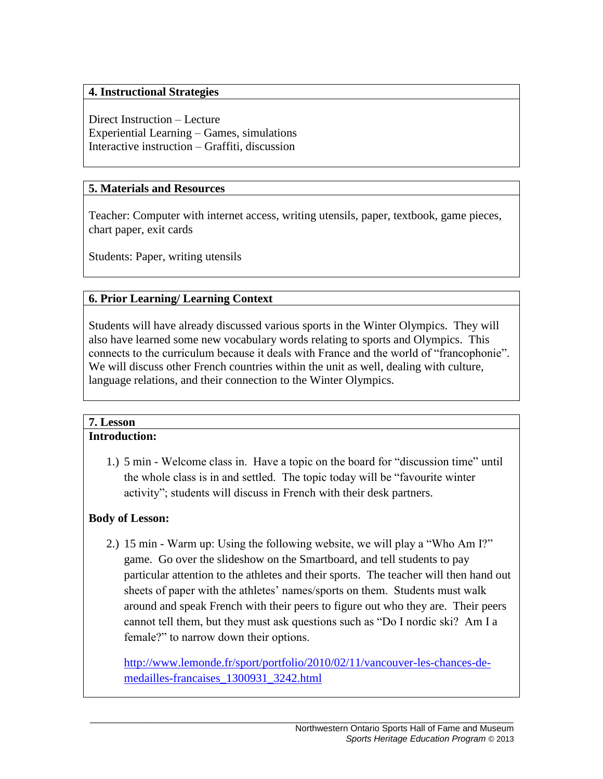#### **4. Instructional Strategies**

Direct Instruction – Lecture Experiential Learning – Games, simulations Interactive instruction – Graffiti, discussion

#### **5. Materials and Resources**

Teacher: Computer with internet access, writing utensils, paper, textbook, game pieces, chart paper, exit cards

Students: Paper, writing utensils

#### **6. Prior Learning/ Learning Context**

Students will have already discussed various sports in the Winter Olympics. They will also have learned some new vocabulary words relating to sports and Olympics. This connects to the curriculum because it deals with France and the world of "francophonie". We will discuss other French countries within the unit as well, dealing with culture, language relations, and their connection to the Winter Olympics.

## **7. Lesson**

#### **Introduction:**

1.) 5 min - Welcome class in. Have a topic on the board for "discussion time" until the whole class is in and settled. The topic today will be "favourite winter activity"; students will discuss in French with their desk partners.

## **Body of Lesson:**

2.) 15 min - Warm up: Using the following website, we will play a "Who Am I?" game. Go over the slideshow on the Smartboard, and tell students to pay particular attention to the athletes and their sports. The teacher will then hand out sheets of paper with the athletes' names/sports on them. Students must walk around and speak French with their peers to figure out who they are. Their peers cannot tell them, but they must ask questions such as "Do I nordic ski? Am I a female?" to narrow down their options.

[http://www.lemonde.fr/sport/portfolio/2010/02/11/vancouver-les-chances-de](http://www.lemonde.fr/sport/portfolio/2010/02/11/vancouver-les-chances-de-medailles-francaises_1300931_3242.html)[medailles-francaises\\_1300931\\_3242.html](http://www.lemonde.fr/sport/portfolio/2010/02/11/vancouver-les-chances-de-medailles-francaises_1300931_3242.html)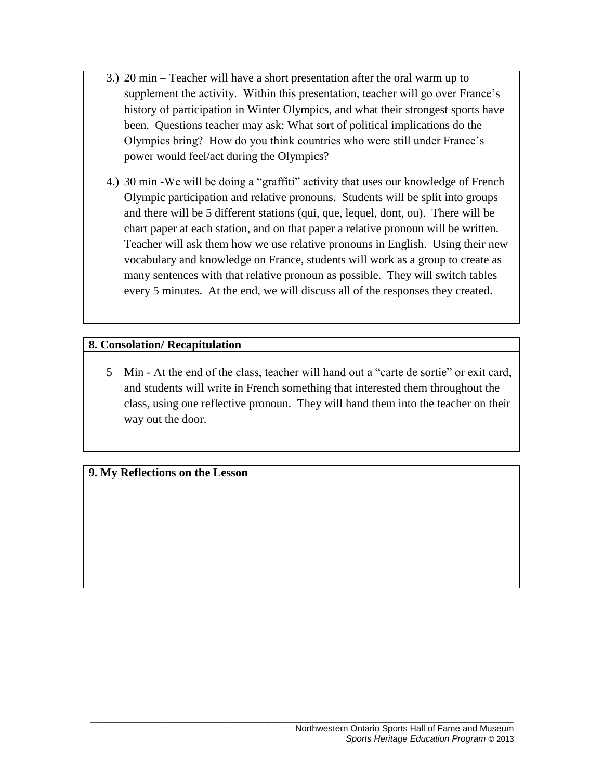- 3.) 20 min Teacher will have a short presentation after the oral warm up to supplement the activity. Within this presentation, teacher will go over France's history of participation in Winter Olympics, and what their strongest sports have been. Questions teacher may ask: What sort of political implications do the Olympics bring? How do you think countries who were still under France's power would feel/act during the Olympics?
- 4.) 30 min -We will be doing a "graffiti" activity that uses our knowledge of French Olympic participation and relative pronouns. Students will be split into groups and there will be 5 different stations (qui, que, lequel, dont, ou). There will be chart paper at each station, and on that paper a relative pronoun will be written. Teacher will ask them how we use relative pronouns in English. Using their new vocabulary and knowledge on France, students will work as a group to create as many sentences with that relative pronoun as possible. They will switch tables every 5 minutes. At the end, we will discuss all of the responses they created.

#### **8. Consolation/ Recapitulation**

5 Min - At the end of the class, teacher will hand out a "carte de sortie" or exit card, and students will write in French something that interested them throughout the class, using one reflective pronoun. They will hand them into the teacher on their way out the door.

#### **9. My Reflections on the Lesson**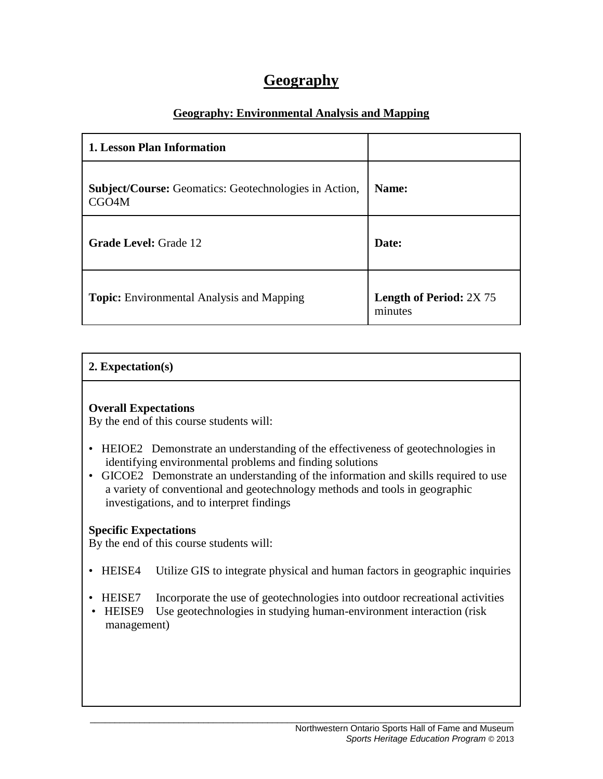## **Geography**

## **Geography: Environmental Analysis and Mapping**

| 1. Lesson Plan Information                                                         |                                          |
|------------------------------------------------------------------------------------|------------------------------------------|
| <b>Subject/Course:</b> Geomatics: Geotechnologies in Action,<br>CGO <sub>4</sub> M | Name:                                    |
| <b>Grade Level: Grade 12</b>                                                       | Date:                                    |
| <b>Topic:</b> Environmental Analysis and Mapping                                   | <b>Length of Period: 2X75</b><br>minutes |

#### **2. Expectation(s)**

#### **Overall Expectations**

By the end of this course students will:

- HEIOE2 Demonstrate an understanding of the effectiveness of geotechnologies in identifying environmental problems and finding solutions
- GICOE2 Demonstrate an understanding of the information and skills required to use a variety of conventional and geotechnology methods and tools in geographic investigations, and to interpret findings

## **Specific Expectations**

By the end of this course students will:

- HEISE4 Utilize GIS to integrate physical and human factors in geographic inquiries
- HEISE7 Incorporate the use of geotechnologies into outdoor recreational activities

\_\_\_\_\_\_\_\_\_\_\_\_\_\_\_\_\_\_\_\_\_\_\_\_\_\_\_\_\_\_\_\_\_\_\_\_\_\_\_\_\_\_\_\_\_\_\_\_\_\_\_\_\_\_\_\_\_\_\_\_\_\_\_\_\_\_\_\_\_\_\_\_\_\_\_\_\_\_\_\_\_\_\_\_\_\_

• HEISE9 Use geotechnologies in studying human-environment interaction (risk management)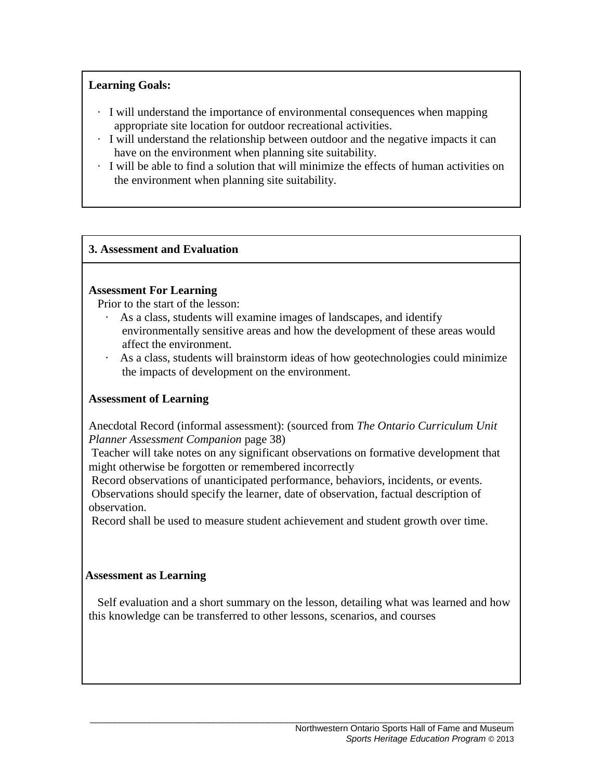### **Learning Goals:**

- · I will understand the importance of environmental consequences when mapping appropriate site location for outdoor recreational activities.
- · I will understand the relationship between outdoor and the negative impacts it can have on the environment when planning site suitability.
- · I will be able to find a solution that will minimize the effects of human activities on the environment when planning site suitability.

#### **3. Assessment and Evaluation**

#### **Assessment For Learning**

Prior to the start of the lesson:

- As a class, students will examine images of landscapes, and identify environmentally sensitive areas and how the development of these areas would affect the environment.
- · As a class, students will brainstorm ideas of how geotechnologies could minimize the impacts of development on the environment.

#### **Assessment of Learning**

Anecdotal Record (informal assessment): (sourced from *The Ontario Curriculum Unit Planner Assessment Companion* page 38)

Teacher will take notes on any significant observations on formative development that might otherwise be forgotten or remembered incorrectly

Record observations of unanticipated performance, behaviors, incidents, or events. Observations should specify the learner, date of observation, factual description of observation.

Record shall be used to measure student achievement and student growth over time.

#### **A Assessment as Learning**

Self evaluation and a short summary on the lesson, detailing what was learned and how this knowledge can be transferred to other lessons, scenarios, and courses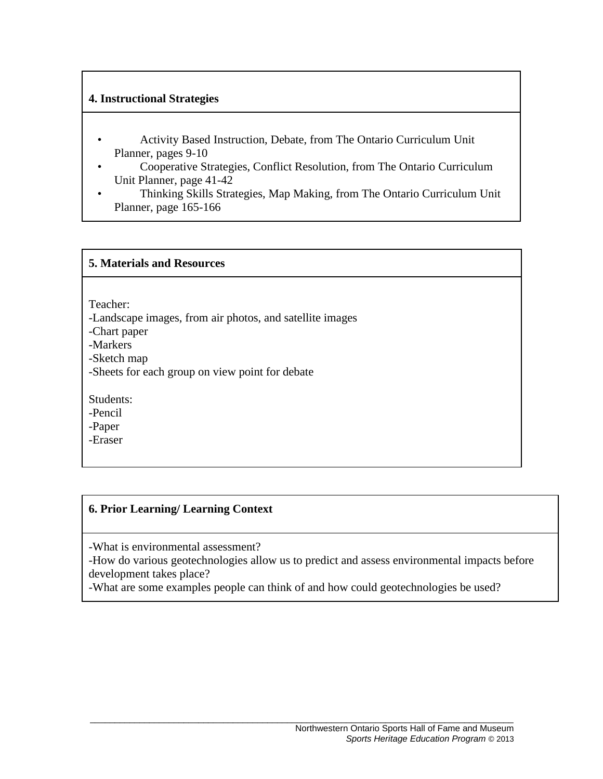#### **4. Instructional Strategies**

- Activity Based Instruction, Debate, from The Ontario Curriculum Unit Planner, pages 9-10
- Cooperative Strategies, Conflict Resolution, from The Ontario Curriculum Unit Planner, page 41-42
- Thinking Skills Strategies, Map Making, from The Ontario Curriculum Unit Planner, page 165-166

#### **5. Materials and Resources**

Teacher:

-Landscape images, from air photos, and satellite images

-Chart paper

-Markers

-Sketch map

-Sheets for each group on view point for debate

Students:

-Pencil

-Paper

-Eraser

#### **6. Prior Learning/ Learning Context**

-What is environmental assessment?

-How do various geotechnologies allow us to predict and assess environmental impacts before development takes place?

-What are some examples people can think of and how could geotechnologies be used?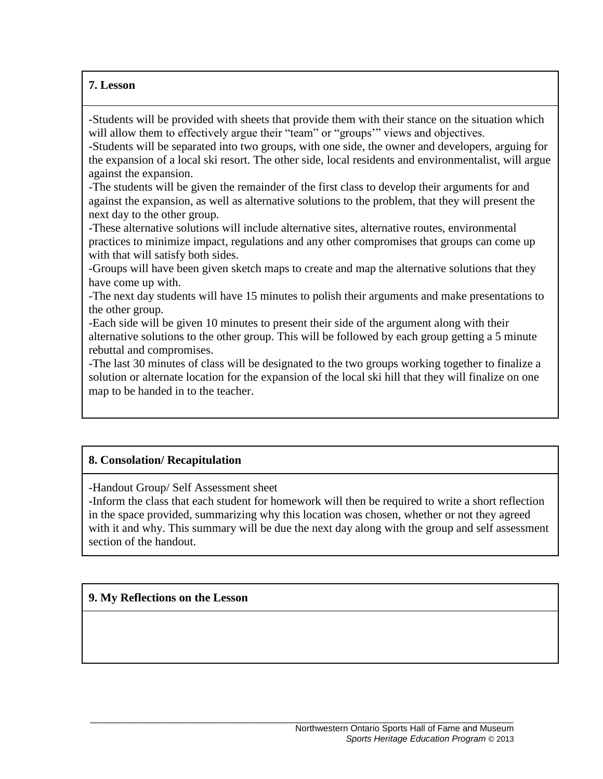#### **7. Lesson**

-Students will be provided with sheets that provide them with their stance on the situation which will allow them to effectively argue their "team" or "groups" views and objectives.

-Students will be separated into two groups, with one side, the owner and developers, arguing for the expansion of a local ski resort. The other side, local residents and environmentalist, will argue against the expansion.

-The students will be given the remainder of the first class to develop their arguments for and against the expansion, as well as alternative solutions to the problem, that they will present the next day to the other group.

-These alternative solutions will include alternative sites, alternative routes, environmental practices to minimize impact, regulations and any other compromises that groups can come up with that will satisfy both sides.

-Groups will have been given sketch maps to create and map the alternative solutions that they have come up with.

-The next day students will have 15 minutes to polish their arguments and make presentations to the other group.

-Each side will be given 10 minutes to present their side of the argument along with their alternative solutions to the other group. This will be followed by each group getting a 5 minute rebuttal and compromises.

-The last 30 minutes of class will be designated to the two groups working together to finalize a solution or alternate location for the expansion of the local ski hill that they will finalize on one map to be handed in to the teacher.

## **8. Consolation/ Recapitulation**

-Handout Group/ Self Assessment sheet

-Inform the class that each student for homework will then be required to write a short reflection in the space provided, summarizing why this location was chosen, whether or not they agreed with it and why. This summary will be due the next day along with the group and self assessment section of the handout.

\_\_\_\_\_\_\_\_\_\_\_\_\_\_\_\_\_\_\_\_\_\_\_\_\_\_\_\_\_\_\_\_\_\_\_\_\_\_\_\_\_\_\_\_\_\_\_\_\_\_\_\_\_\_\_\_\_\_\_\_\_\_\_\_\_\_\_\_\_\_\_\_\_\_\_\_\_\_\_\_\_\_\_\_\_\_

#### **9. My Reflections on the Lesson**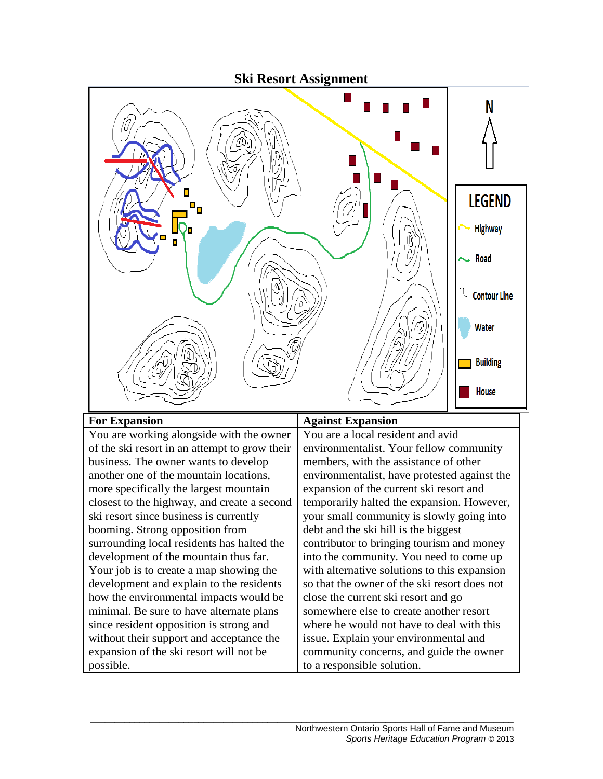

| <b>For Expansion</b>                          | <b>Against Expansion</b>                     |
|-----------------------------------------------|----------------------------------------------|
| You are working alongside with the owner      | You are a local resident and avid            |
| of the ski resort in an attempt to grow their | environmentalist. Your fellow community      |
| business. The owner wants to develop          | members, with the assistance of other        |
| another one of the mountain locations,        | environmentalist, have protested against the |
| more specifically the largest mountain        | expansion of the current ski resort and      |
| closest to the highway, and create a second   | temporarily halted the expansion. However,   |
| ski resort since business is currently        | your small community is slowly going into    |
| booming. Strong opposition from               | debt and the ski hill is the biggest         |
| surrounding local residents has halted the    | contributor to bringing tourism and money    |
| development of the mountain thus far.         | into the community. You need to come up      |
| Your job is to create a map showing the       | with alternative solutions to this expansion |
| development and explain to the residents      | so that the owner of the ski resort does not |
| how the environmental impacts would be        | close the current ski resort and go          |
| minimal. Be sure to have alternate plans      | somewhere else to create another resort      |
| since resident opposition is strong and       | where he would not have to deal with this    |
| without their support and acceptance the      | issue. Explain your environmental and        |
| expansion of the ski resort will not be       | community concerns, and guide the owner      |
| possible.                                     | to a responsible solution.                   |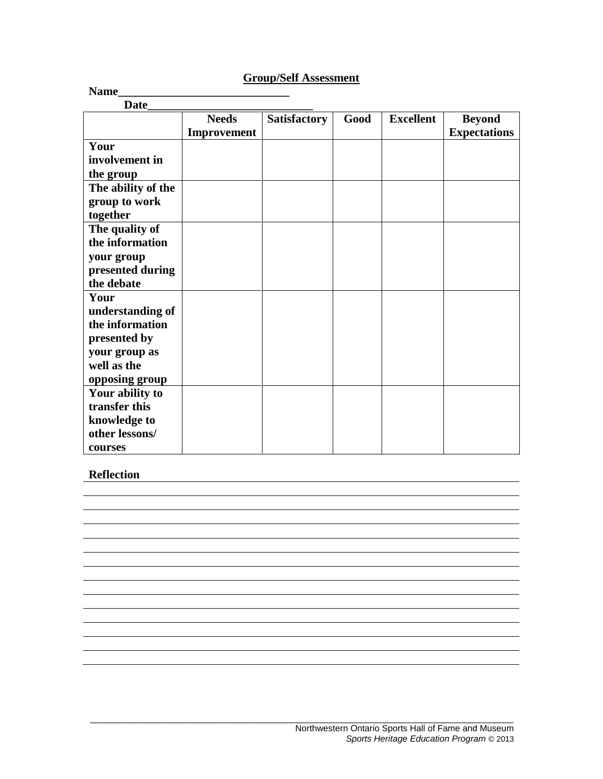## **Group/Self Assessment**

Name<br>Date

| <b>Date</b>        |              |                     |      |                  |                     |
|--------------------|--------------|---------------------|------|------------------|---------------------|
|                    | <b>Needs</b> | <b>Satisfactory</b> | Good | <b>Excellent</b> | <b>Beyond</b>       |
|                    | Improvement  |                     |      |                  | <b>Expectations</b> |
| Your               |              |                     |      |                  |                     |
| involvement in     |              |                     |      |                  |                     |
| the group          |              |                     |      |                  |                     |
| The ability of the |              |                     |      |                  |                     |
| group to work      |              |                     |      |                  |                     |
| together           |              |                     |      |                  |                     |
| The quality of     |              |                     |      |                  |                     |
| the information    |              |                     |      |                  |                     |
| your group         |              |                     |      |                  |                     |
| presented during   |              |                     |      |                  |                     |
| the debate         |              |                     |      |                  |                     |
| Your               |              |                     |      |                  |                     |
| understanding of   |              |                     |      |                  |                     |
| the information    |              |                     |      |                  |                     |
| presented by       |              |                     |      |                  |                     |
| your group as      |              |                     |      |                  |                     |
| well as the        |              |                     |      |                  |                     |
| opposing group     |              |                     |      |                  |                     |
| Your ability to    |              |                     |      |                  |                     |
| transfer this      |              |                     |      |                  |                     |
| knowledge to       |              |                     |      |                  |                     |
| other lessons/     |              |                     |      |                  |                     |
| courses            |              |                     |      |                  |                     |

\_\_\_\_\_\_\_\_\_\_\_\_\_\_\_\_\_\_\_\_\_\_\_\_\_\_\_\_\_\_\_\_\_\_\_\_\_\_\_\_\_\_\_\_\_\_\_\_\_\_\_\_\_\_\_\_\_\_\_\_\_\_\_\_\_\_\_\_\_\_\_\_\_\_\_\_\_\_\_\_\_\_\_\_\_\_

#### **Reflection**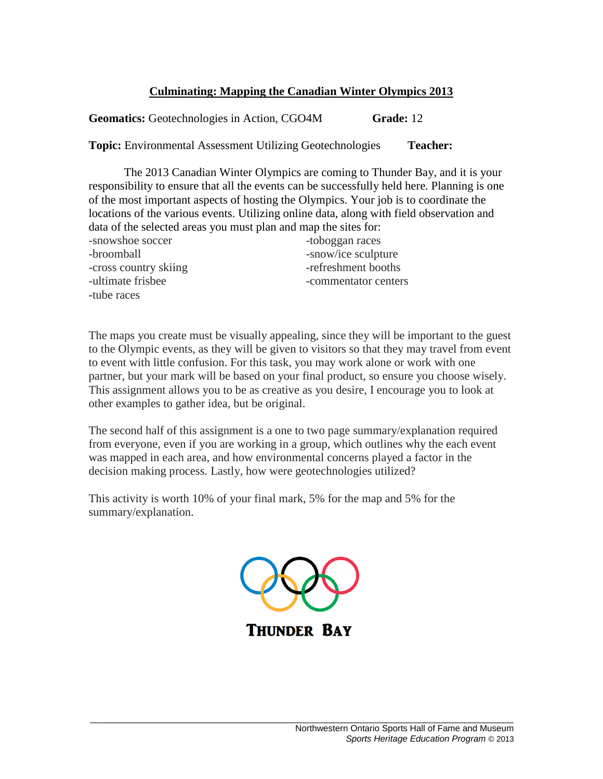## **Culminating: Mapping the Canadian Winter Olympics 2013**

**Geomatics:** Geotechnologies in Action, CGO4M **Grade:** 12

**Topic:** Environmental Assessment Utilizing Geotechnologies **Teacher:** 

The 2013 Canadian Winter Olympics are coming to Thunder Bay, and it is your responsibility to ensure that all the events can be successfully held here. Planning is one of the most important aspects of hosting the Olympics. Your job is to coordinate the locations of the various events. Utilizing online data, along with field observation and data of the selected areas you must plan and map the sites for: -snowshoe soccer -broomball -cross country skiing -ultimate frisbee -tube races -toboggan races -snow/ice sculpture -refreshment booths -commentator centers

The maps you create must be visually appealing, since they will be important to the guest to the Olympic events, as they will be given to visitors so that they may travel from event to event with little confusion. For this task, you may work alone or work with one partner, but your mark will be based on your final product, so ensure you choose wisely. This assignment allows you to be as creative as you desire, I encourage you to look at other examples to gather idea, but be original.

The second half of this assignment is a one to two page summary/explanation required from everyone, even if you are working in a group, which outlines why the each event was mapped in each area, and how environmental concerns played a factor in the decision making process. Lastly, how were geotechnologies utilized?

This activity is worth 10% of your final mark, 5% for the map and 5% for the summary/explanation.

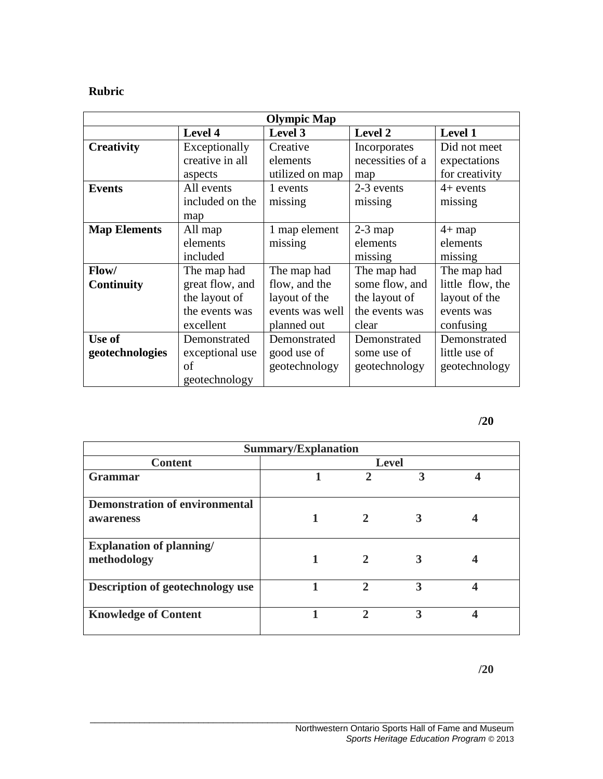## **Rubric**

|                     |                 | <b>Olympic Map</b> |                  |                  |
|---------------------|-----------------|--------------------|------------------|------------------|
|                     | Level 4         | Level 3            | Level 2          | <b>Level 1</b>   |
| <b>Creativity</b>   | Exceptionally   | Creative           | Incorporates     | Did not meet     |
|                     | creative in all | elements           | necessities of a | expectations     |
|                     | aspects         | utilized on map    | map              | for creativity   |
| <b>Events</b>       | All events      | 1 events           | 2-3 events       | $4+$ events      |
|                     | included on the | missing            | missing          | missing          |
|                     | map             |                    |                  |                  |
| <b>Map Elements</b> | All map         | 1 map element      | $2-3$ map        | $4+$ map         |
|                     | elements        | missing            | elements         | elements         |
|                     | included        |                    | missing          | missing          |
| Flow/               | The map had     | The map had        | The map had      | The map had      |
| <b>Continuity</b>   | great flow, and | flow, and the      | some flow, and   | little flow, the |
|                     | the layout of   | layout of the      | the layout of    | layout of the    |
|                     | the events was  | events was well    | the events was   | events was       |
|                     | excellent       | planned out        | clear            | confusing        |
| Use of              | Demonstrated    | Demonstrated       | Demonstrated     | Demonstrated     |
| geotechnologies     | exceptional use | good use of        | some use of      | little use of    |
|                     | οf              | geotechnology      | geotechnology    | geotechnology    |
|                     | geotechnology   |                    |                  |                  |

**/20**

|                                                    | <b>Summary/Explanation</b> |                |   |  |
|----------------------------------------------------|----------------------------|----------------|---|--|
| <b>Content</b>                                     |                            | <b>Level</b>   |   |  |
| <b>Grammar</b>                                     |                            | 2              | 3 |  |
| <b>Demonstration of environmental</b><br>awareness |                            | $\mathbf{2}$   | 3 |  |
| <b>Explanation of planning/</b><br>methodology     |                            | $\mathbf{2}$   | 3 |  |
| Description of geotechnology use                   |                            | $\mathbf{2}$   | 3 |  |
| <b>Knowledge of Content</b>                        |                            | $\mathfrak{D}$ | 3 |  |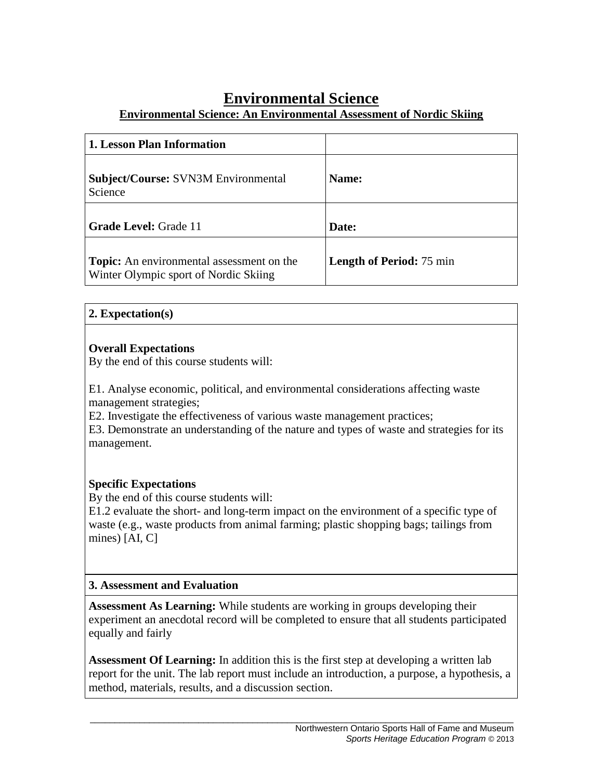## **Environmental Science**

## **Environmental Science: An Environmental Assessment of Nordic Skiing**

| 1. Lesson Plan Information                                                         |                                 |
|------------------------------------------------------------------------------------|---------------------------------|
| <b>Subject/Course: SVN3M Environmental</b><br>Science                              | Name:                           |
| <b>Grade Level: Grade 11</b>                                                       | Date:                           |
| Topic: An environmental assessment on the<br>Winter Olympic sport of Nordic Skiing | <b>Length of Period:</b> 75 min |

#### **2. Expectation(s)**

#### **Overall Expectations**

By the end of this course students will:

E1. Analyse economic, political, and environmental considerations affecting waste management strategies;

E2. Investigate the effectiveness of various waste management practices;

E3. Demonstrate an understanding of the nature and types of waste and strategies for its management.

## **Specific Expectations**

By the end of this course students will:

E1.2 evaluate the short- and long-term impact on the environment of a specific type of waste (e.g., waste products from animal farming; plastic shopping bags; tailings from mines) [AI, C]

## **3. Assessment and Evaluation**

**Assessment As Learning:** While students are working in groups developing their experiment an anecdotal record will be completed to ensure that all students participated equally and fairly

**Assessment Of Learning:** In addition this is the first step at developing a written lab report for the unit. The lab report must include an introduction, a purpose, a hypothesis, a method, materials, results, and a discussion section.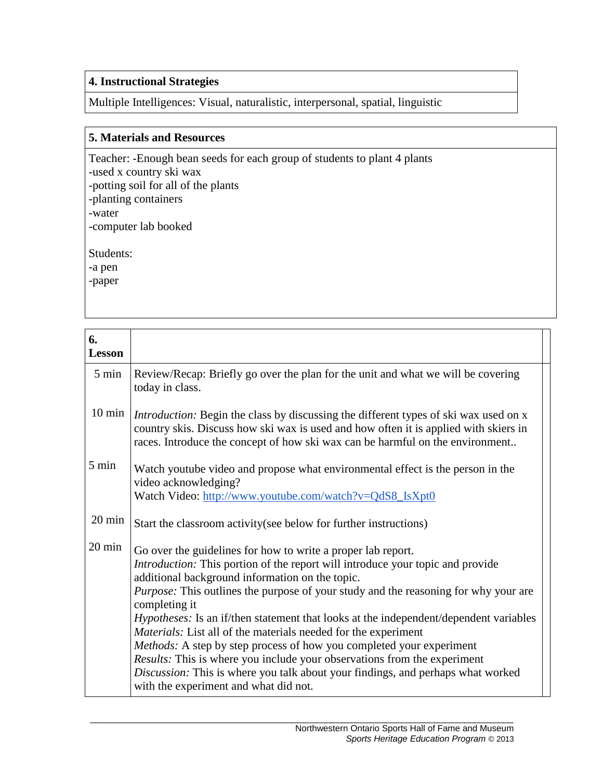#### **4. Instructional Strategies**

Multiple Intelligences: Visual, naturalistic, interpersonal, spatial, linguistic

### **5. Materials and Resources**

Teacher: -Enough bean seeds for each group of students to plant 4 plants -used x country ski wax -potting soil for all of the plants -planting containers -water -computer lab booked Students: -a pen -paper

| 6.<br><b>Lesson</b> |                                                                                                                                                                                                                                                                                                                                                                                                                                                                                                                                                                                                                                                                                                                                                                                  |
|---------------------|----------------------------------------------------------------------------------------------------------------------------------------------------------------------------------------------------------------------------------------------------------------------------------------------------------------------------------------------------------------------------------------------------------------------------------------------------------------------------------------------------------------------------------------------------------------------------------------------------------------------------------------------------------------------------------------------------------------------------------------------------------------------------------|
| 5 min               | Review/Recap: Briefly go over the plan for the unit and what we will be covering<br>today in class.                                                                                                                                                                                                                                                                                                                                                                                                                                                                                                                                                                                                                                                                              |
| $10 \text{ min}$    | <i>Introduction:</i> Begin the class by discussing the different types of ski wax used on x<br>country skis. Discuss how ski wax is used and how often it is applied with skiers in<br>races. Introduce the concept of how ski wax can be harmful on the environment                                                                                                                                                                                                                                                                                                                                                                                                                                                                                                             |
| 5 min               | Watch youtube video and propose what environmental effect is the person in the<br>video acknowledging?<br>Watch Video: http://www.youtube.com/watch?v=QdS8_IsXpt0                                                                                                                                                                                                                                                                                                                                                                                                                                                                                                                                                                                                                |
| $20 \text{ min}$    | Start the classroom activity (see below for further instructions)                                                                                                                                                                                                                                                                                                                                                                                                                                                                                                                                                                                                                                                                                                                |
| 20 min              | Go over the guidelines for how to write a proper lab report.<br><i>Introduction:</i> This portion of the report will introduce your topic and provide<br>additional background information on the topic.<br><i>Purpose:</i> This outlines the purpose of your study and the reasoning for why your are<br>completing it<br><i>Hypotheses:</i> Is an if/then statement that looks at the independent/dependent variables<br>Materials: List all of the materials needed for the experiment<br><i>Methods:</i> A step by step process of how you completed your experiment<br>Results: This is where you include your observations from the experiment<br>Discussion: This is where you talk about your findings, and perhaps what worked<br>with the experiment and what did not. |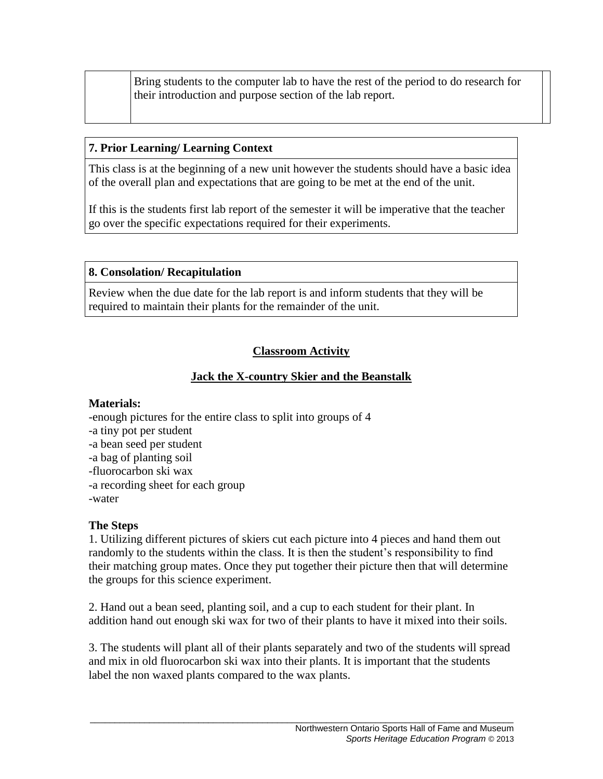| <b>Bring students to the computer lab to have the rest of the period to do research for</b> |  |
|---------------------------------------------------------------------------------------------|--|
| their introduction and purpose section of the lab report.                                   |  |

## **7. Prior Learning/ Learning Context**

This class is at the beginning of a new unit however the students should have a basic idea of the overall plan and expectations that are going to be met at the end of the unit.

If this is the students first lab report of the semester it will be imperative that the teacher go over the specific expectations required for their experiments.

#### **8. Consolation/ Recapitulation**

Review when the due date for the lab report is and inform students that they will be required to maintain their plants for the remainder of the unit.

#### **Classroom Activity**

#### **Jack the X-country Skier and the Beanstalk**

#### **Materials:**

-enough pictures for the entire class to split into groups of 4

- -a tiny pot per student
- -a bean seed per student
- -a bag of planting soil
- -fluorocarbon ski wax
- -a recording sheet for each group

-water

#### **The Steps**

1. Utilizing different pictures of skiers cut each picture into 4 pieces and hand them out randomly to the students within the class. It is then the student's responsibility to find their matching group mates. Once they put together their picture then that will determine the groups for this science experiment.

2. Hand out a bean seed, planting soil, and a cup to each student for their plant. In addition hand out enough ski wax for two of their plants to have it mixed into their soils.

3. The students will plant all of their plants separately and two of the students will spread and mix in old fluorocarbon ski wax into their plants. It is important that the students label the non waxed plants compared to the wax plants.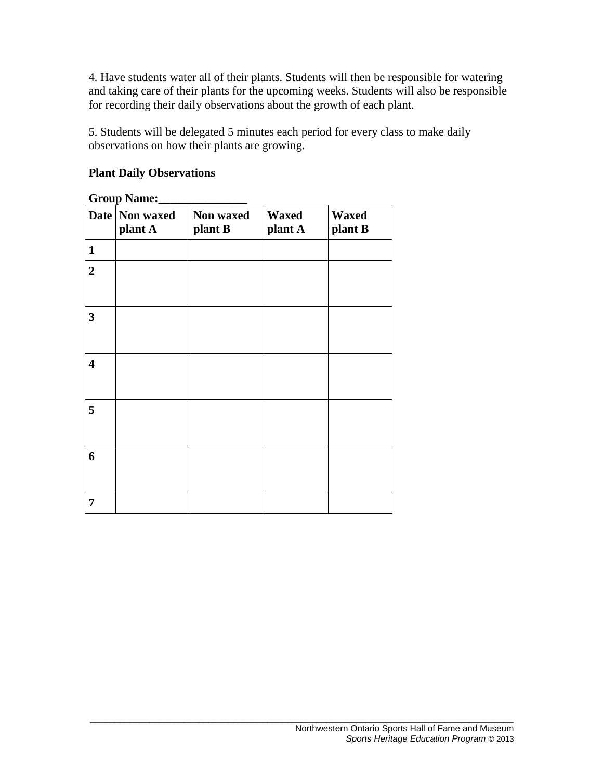4. Have students water all of their plants. Students will then be responsible for watering and taking care of their plants for the upcoming weeks. Students will also be responsible for recording their daily observations about the growth of each plant.

5. Students will be delegated 5 minutes each period for every class to make daily observations on how their plants are growing.

| <b>Plant Daily Observations</b> |  |
|---------------------------------|--|
|---------------------------------|--|

|                         | Date Non waxed<br>plant A | <b>Non waxed</b><br>plant B | <b>Waxed</b><br>plant A | <b>Waxed</b><br>plant B |
|-------------------------|---------------------------|-----------------------------|-------------------------|-------------------------|
| $\mathbf{1}$            |                           |                             |                         |                         |
| $\overline{2}$          |                           |                             |                         |                         |
| $\mathbf{3}$            |                           |                             |                         |                         |
| $\overline{\mathbf{4}}$ |                           |                             |                         |                         |
| 5                       |                           |                             |                         |                         |
| 6                       |                           |                             |                         |                         |
| $\overline{7}$          |                           |                             |                         |                         |

#### **Group Name:\_\_\_\_\_\_\_\_\_\_\_\_\_\_\_**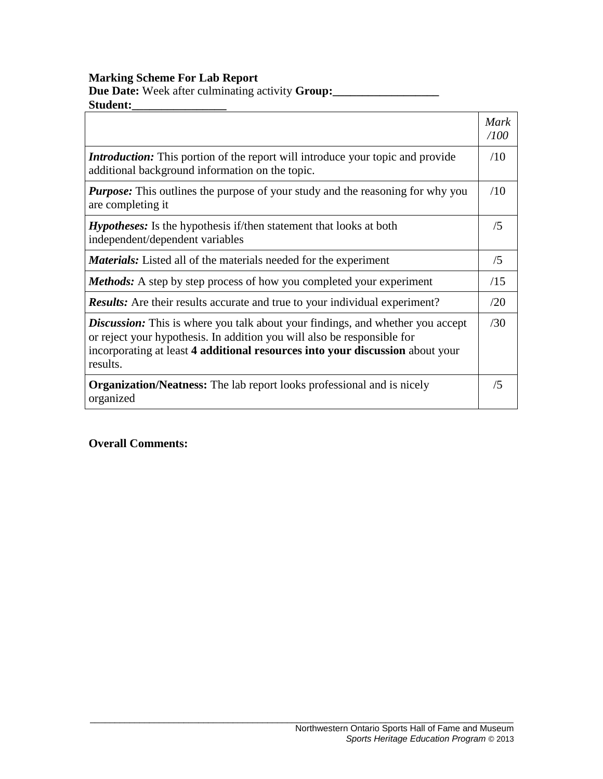### **Marking Scheme For Lab Report**

Due Date: Week after culminating activity **Group:\_\_\_\_\_\_\_\_\_\_\_\_\_\_\_\_ Student:\_\_\_\_\_\_\_\_\_\_\_\_\_\_\_\_**

|                                                                                                                                                                                                                                                               | Mark<br>$\Delta 100$ |
|---------------------------------------------------------------------------------------------------------------------------------------------------------------------------------------------------------------------------------------------------------------|----------------------|
| <i>Introduction:</i> This portion of the report will introduce your topic and provide<br>additional background information on the topic.                                                                                                                      | /10                  |
| <b>Purpose:</b> This outlines the purpose of your study and the reasoning for why you<br>are completing it                                                                                                                                                    | /10                  |
| <i>Hypotheses:</i> Is the hypothesis if/then statement that looks at both<br>independent/dependent variables                                                                                                                                                  | /5                   |
| <b>Materials:</b> Listed all of the materials needed for the experiment                                                                                                                                                                                       | /5                   |
| <b>Methods:</b> A step by step process of how you completed your experiment                                                                                                                                                                                   | /15                  |
| <b>Results:</b> Are their results accurate and true to your individual experiment?                                                                                                                                                                            | /20                  |
| <i>Discussion:</i> This is where you talk about your findings, and whether you accept<br>or reject your hypothesis. In addition you will also be responsible for<br>incorporating at least 4 additional resources into your discussion about your<br>results. | /30                  |
| <b>Organization/Neatness:</b> The lab report looks professional and is nicely<br>organized                                                                                                                                                                    | /5                   |

\_\_\_\_\_\_\_\_\_\_\_\_\_\_\_\_\_\_\_\_\_\_\_\_\_\_\_\_\_\_\_\_\_\_\_\_\_\_\_\_\_\_\_\_\_\_\_\_\_\_\_\_\_\_\_\_\_\_\_\_\_\_\_\_\_\_\_\_\_\_\_\_\_\_\_\_\_\_\_\_\_\_\_\_\_\_

**Overall Comments:**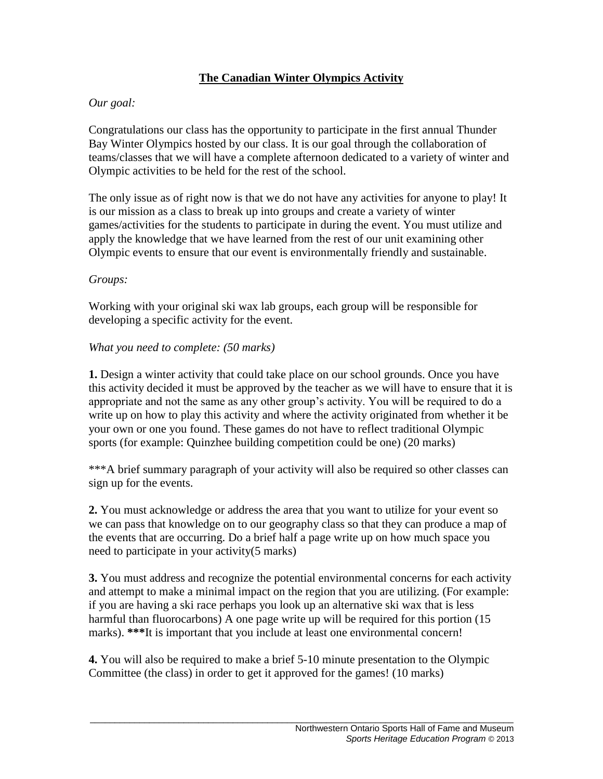## **The Canadian Winter Olympics Activity**

#### *Our goal:*

Congratulations our class has the opportunity to participate in the first annual Thunder Bay Winter Olympics hosted by our class. It is our goal through the collaboration of teams/classes that we will have a complete afternoon dedicated to a variety of winter and Olympic activities to be held for the rest of the school.

The only issue as of right now is that we do not have any activities for anyone to play! It is our mission as a class to break up into groups and create a variety of winter games/activities for the students to participate in during the event. You must utilize and apply the knowledge that we have learned from the rest of our unit examining other Olympic events to ensure that our event is environmentally friendly and sustainable.

#### *Groups:*

Working with your original ski wax lab groups, each group will be responsible for developing a specific activity for the event.

#### *What you need to complete: (50 marks)*

**1.** Design a winter activity that could take place on our school grounds. Once you have this activity decided it must be approved by the teacher as we will have to ensure that it is appropriate and not the same as any other group's activity. You will be required to do a write up on how to play this activity and where the activity originated from whether it be your own or one you found. These games do not have to reflect traditional Olympic sports (for example: Quinzhee building competition could be one) (20 marks)

\*\*\*A brief summary paragraph of your activity will also be required so other classes can sign up for the events.

**2.** You must acknowledge or address the area that you want to utilize for your event so we can pass that knowledge on to our geography class so that they can produce a map of the events that are occurring. Do a brief half a page write up on how much space you need to participate in your activity(5 marks)

**3.** You must address and recognize the potential environmental concerns for each activity and attempt to make a minimal impact on the region that you are utilizing. (For example: if you are having a ski race perhaps you look up an alternative ski wax that is less harmful than fluorocarbons) A one page write up will be required for this portion (15 marks). **\*\*\***It is important that you include at least one environmental concern!

**4.** You will also be required to make a brief 5-10 minute presentation to the Olympic Committee (the class) in order to get it approved for the games! (10 marks)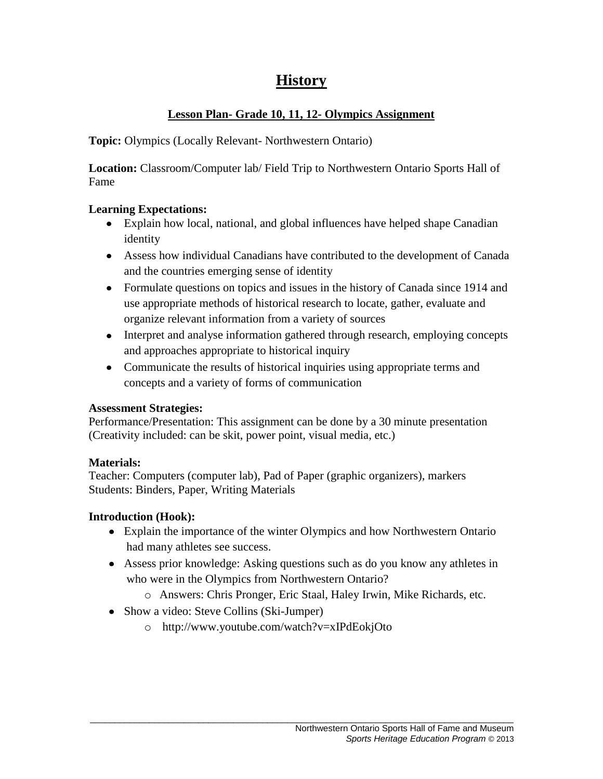## **History**

## **Lesson Plan- Grade 10, 11, 12- Olympics Assignment**

**Topic:** Olympics (Locally Relevant- Northwestern Ontario)

**Location:** Classroom/Computer lab/ Field Trip to Northwestern Ontario Sports Hall of Fame

## **Learning Expectations:**

- Explain how local, national, and global influences have helped shape Canadian identity
- Assess how individual Canadians have contributed to the development of Canada and the countries emerging sense of identity
- Formulate questions on topics and issues in the history of Canada since 1914 and use appropriate methods of historical research to locate, gather, evaluate and organize relevant information from a variety of sources
- Interpret and analyse information gathered through research, employing concepts and approaches appropriate to historical inquiry
- Communicate the results of historical inquiries using appropriate terms and concepts and a variety of forms of communication

## **Assessment Strategies:**

Performance/Presentation: This assignment can be done by a 30 minute presentation (Creativity included: can be skit, power point, visual media, etc.)

## **Materials:**

Teacher: Computers (computer lab), Pad of Paper (graphic organizers), markers Students: Binders, Paper, Writing Materials

## **Introduction (Hook):**

- Explain the importance of the winter Olympics and how Northwestern Ontario had many athletes see success.
- Assess prior knowledge: Asking questions such as do you know any athletes in who were in the Olympics from Northwestern Ontario?

- o Answers: Chris Pronger, Eric Staal, Haley Irwin, Mike Richards, etc.
- Show a video: Steve Collins (Ski-Jumper)
	- o http://www.youtube.com/watch?v=xIPdEokjOto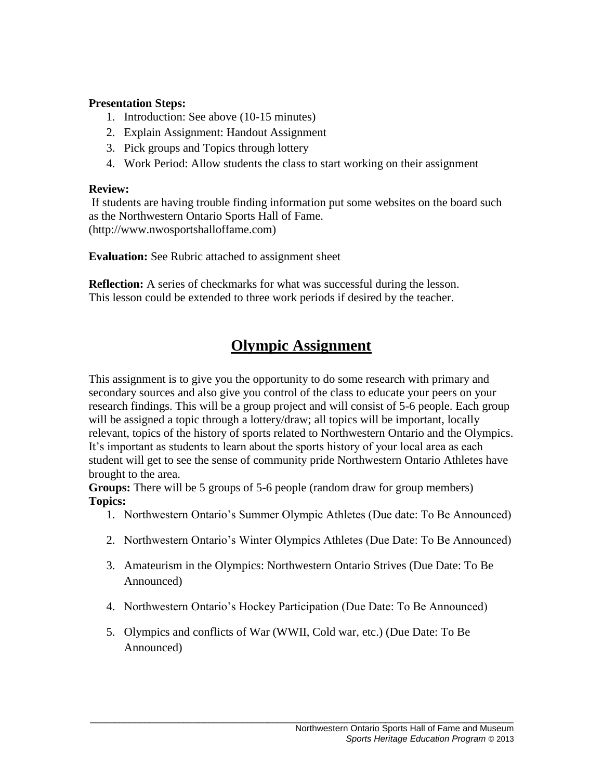#### **Presentation Steps:**

- 1. Introduction: See above (10-15 minutes)
- 2. Explain Assignment: Handout Assignment
- 3. Pick groups and Topics through lottery
- 4. Work Period: Allow students the class to start working on their assignment

#### **Review:**

If students are having trouble finding information put some websites on the board such as the Northwestern Ontario Sports Hall of Fame. (http://www.nwosportshalloffame.com)

**Evaluation:** See Rubric attached to assignment sheet

**Reflection:** A series of checkmarks for what was successful during the lesson. This lesson could be extended to three work periods if desired by the teacher.

## **Olympic Assignment**

This assignment is to give you the opportunity to do some research with primary and secondary sources and also give you control of the class to educate your peers on your research findings. This will be a group project and will consist of 5-6 people. Each group will be assigned a topic through a lottery/draw; all topics will be important, locally relevant, topics of the history of sports related to Northwestern Ontario and the Olympics. It's important as students to learn about the sports history of your local area as each student will get to see the sense of community pride Northwestern Ontario Athletes have brought to the area.

**Groups:** There will be 5 groups of 5-6 people (random draw for group members) **Topics:** 

- 1. Northwestern Ontario's Summer Olympic Athletes (Due date: To Be Announced)
- 2. Northwestern Ontario's Winter Olympics Athletes (Due Date: To Be Announced)
- 3. Amateurism in the Olympics: Northwestern Ontario Strives (Due Date: To Be Announced)
- 4. Northwestern Ontario's Hockey Participation (Due Date: To Be Announced)

\_\_\_\_\_\_\_\_\_\_\_\_\_\_\_\_\_\_\_\_\_\_\_\_\_\_\_\_\_\_\_\_\_\_\_\_\_\_\_\_\_\_\_\_\_\_\_\_\_\_\_\_\_\_\_\_\_\_\_\_\_\_\_\_\_\_\_\_\_\_\_\_\_\_\_\_\_\_\_\_\_\_\_\_\_\_

5. Olympics and conflicts of War (WWII, Cold war, etc.) (Due Date: To Be Announced)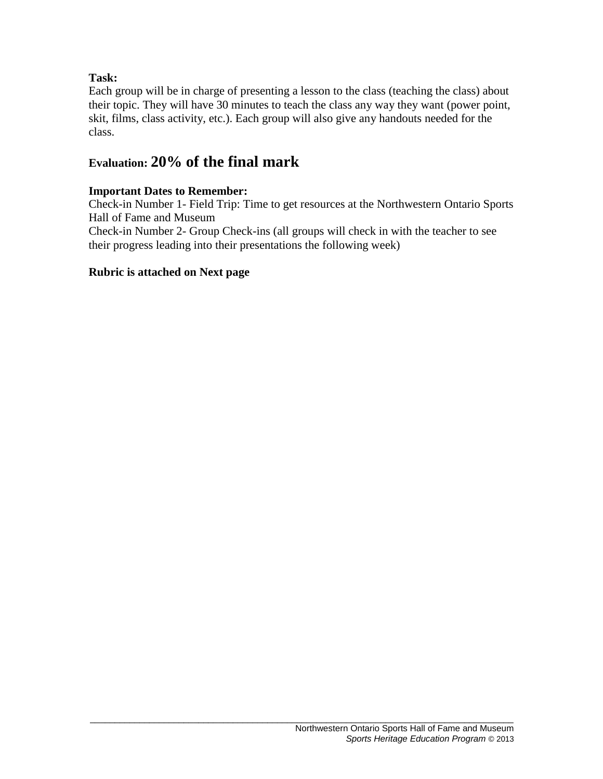## **Task:**

Each group will be in charge of presenting a lesson to the class (teaching the class) about their topic. They will have 30 minutes to teach the class any way they want (power point, skit, films, class activity, etc.). Each group will also give any handouts needed for the class.

## **Evaluation: 20% of the final mark**

### **Important Dates to Remember:**

Check-in Number 1- Field Trip: Time to get resources at the Northwestern Ontario Sports Hall of Fame and Museum

\_\_\_\_\_\_\_\_\_\_\_\_\_\_\_\_\_\_\_\_\_\_\_\_\_\_\_\_\_\_\_\_\_\_\_\_\_\_\_\_\_\_\_\_\_\_\_\_\_\_\_\_\_\_\_\_\_\_\_\_\_\_\_\_\_\_\_\_\_\_\_\_\_\_\_\_\_\_\_\_\_\_\_\_\_\_

Check-in Number 2- Group Check-ins (all groups will check in with the teacher to see their progress leading into their presentations the following week)

#### **Rubric is attached on Next page**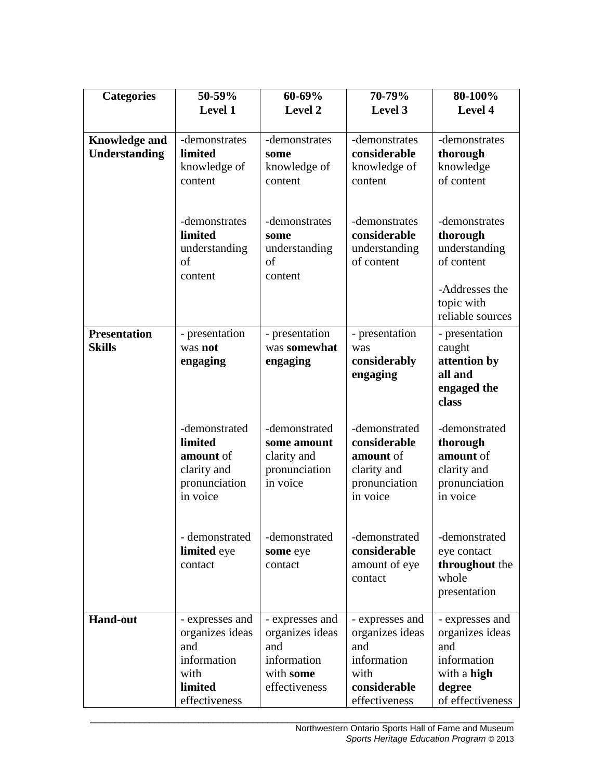| <b>Categories</b>                     | 50-59%                                                                                       | 60-69%                                                                                 | 70-79%                                                                                            | 80-100%                                                                                                      |
|---------------------------------------|----------------------------------------------------------------------------------------------|----------------------------------------------------------------------------------------|---------------------------------------------------------------------------------------------------|--------------------------------------------------------------------------------------------------------------|
|                                       | Level 1                                                                                      | Level 2                                                                                | Level 3                                                                                           | Level 4                                                                                                      |
|                                       |                                                                                              |                                                                                        |                                                                                                   |                                                                                                              |
| <b>Knowledge and</b><br>Understanding | -demonstrates<br>limited<br>knowledge of<br>content                                          | -demonstrates<br>some<br>knowledge of<br>content                                       | -demonstrates<br>considerable<br>knowledge of<br>content                                          | -demonstrates<br>thorough<br>knowledge<br>of content                                                         |
|                                       | -demonstrates<br>limited<br>understanding<br>of<br>content                                   | -demonstrates<br>some<br>understanding<br>of<br>content                                | -demonstrates<br>considerable<br>understanding<br>of content                                      | -demonstrates<br>thorough<br>understanding<br>of content<br>-Addresses the<br>topic with<br>reliable sources |
| <b>Presentation</b><br><b>Skills</b>  | - presentation<br>was not<br>engaging                                                        | - presentation<br>was somewhat<br>engaging                                             | - presentation<br>was<br>considerably<br>engaging                                                 | - presentation<br>caught<br>attention by<br>all and<br>engaged the<br>class                                  |
|                                       | -demonstrated<br>limited<br>amount of<br>clarity and<br>pronunciation<br>in voice            | -demonstrated<br>some amount<br>clarity and<br>pronunciation<br>in voice               | -demonstrated<br>considerable<br>amount of<br>clarity and<br>pronunciation<br>in voice            | -demonstrated<br>thorough<br>amount of<br>clarity and<br>pronunciation<br>in voice                           |
|                                       | - demonstrated<br>limited eye<br>contact                                                     | -demonstrated<br>some eye<br>contact                                                   | -demonstrated<br>considerable<br>amount of eye<br>contact                                         | -demonstrated<br>eye contact<br>throughout the<br>whole<br>presentation                                      |
| <b>Hand-out</b>                       | - expresses and<br>organizes ideas<br>and<br>information<br>with<br>limited<br>effectiveness | - expresses and<br>organizes ideas<br>and<br>information<br>with some<br>effectiveness | - expresses and<br>organizes ideas<br>and<br>information<br>with<br>considerable<br>effectiveness | - expresses and<br>organizes ideas<br>and<br>information<br>with a high<br>degree<br>of effectiveness        |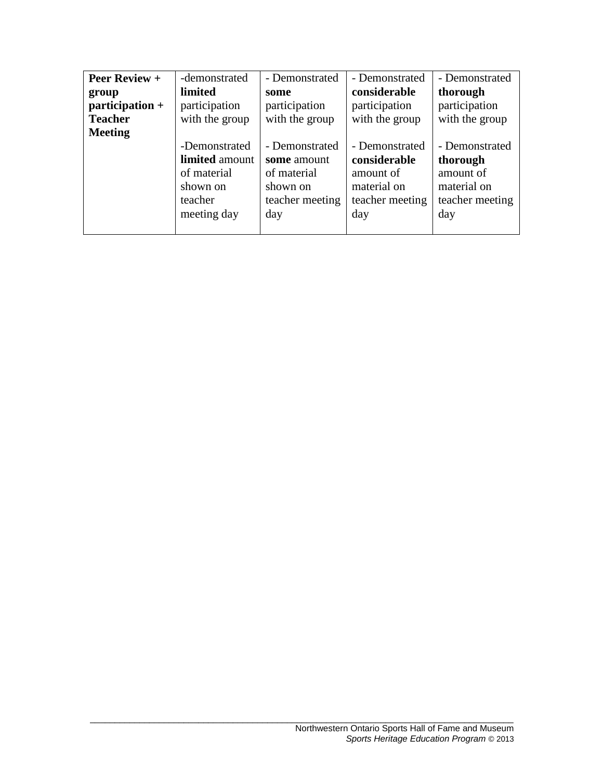| <b>Peer Review +</b> | -demonstrated         | - Demonstrated  | - Demonstrated  | - Demonstrated  |
|----------------------|-----------------------|-----------------|-----------------|-----------------|
| group                | limited               | some            | considerable    | thorough        |
| $participation +$    | participation         | participation   | participation   | participation   |
| <b>Teacher</b>       | with the group        | with the group  | with the group  | with the group  |
| <b>Meeting</b>       |                       |                 |                 |                 |
|                      | -Demonstrated         | - Demonstrated  | - Demonstrated  | - Demonstrated  |
|                      | <b>limited</b> amount | some amount     | considerable    | thorough        |
|                      | of material           | of material     | amount of       | amount of       |
|                      | shown on              | shown on        | material on     | material on     |
|                      | teacher               | teacher meeting | teacher meeting | teacher meeting |
|                      | meeting day           | day             | day             | day             |
|                      |                       |                 |                 |                 |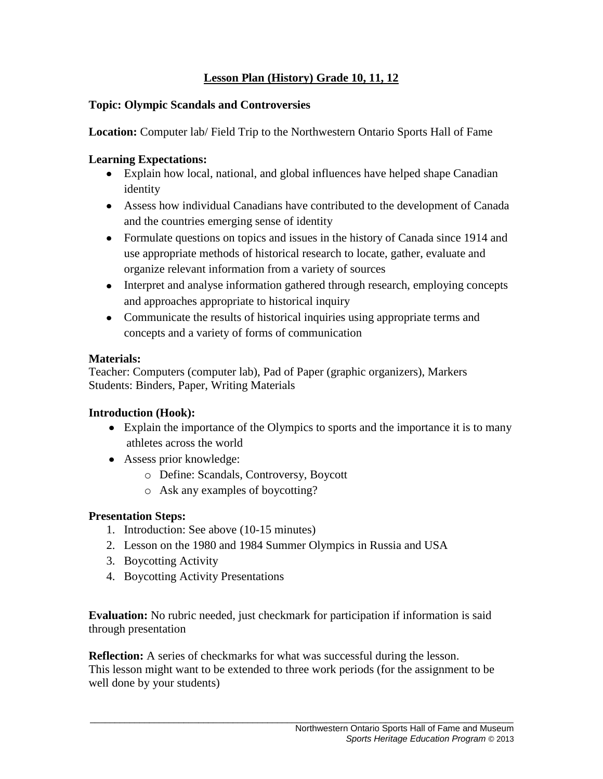## **Lesson Plan (History) Grade 10, 11, 12**

#### **Topic: Olympic Scandals and Controversies**

**Location:** Computer lab/ Field Trip to the Northwestern Ontario Sports Hall of Fame

## **Learning Expectations:**

- Explain how local, national, and global influences have helped shape Canadian identity
- Assess how individual Canadians have contributed to the development of Canada and the countries emerging sense of identity
- Formulate questions on topics and issues in the history of Canada since 1914 and use appropriate methods of historical research to locate, gather, evaluate and organize relevant information from a variety of sources
- Interpret and analyse information gathered through research, employing concepts and approaches appropriate to historical inquiry
- Communicate the results of historical inquiries using appropriate terms and concepts and a variety of forms of communication

#### **Materials:**

Teacher: Computers (computer lab), Pad of Paper (graphic organizers), Markers Students: Binders, Paper, Writing Materials

#### **Introduction (Hook):**

- Explain the importance of the Olympics to sports and the importance it is to many athletes across the world
- Assess prior knowledge:
	- o Define: Scandals, Controversy, Boycott
	- o Ask any examples of boycotting?

## **Presentation Steps:**

- 1. Introduction: See above (10-15 minutes)
- 2. Lesson on the 1980 and 1984 Summer Olympics in Russia and USA
- 3. Boycotting Activity
- 4. Boycotting Activity Presentations

**Evaluation:** No rubric needed, just checkmark for participation if information is said through presentation

**Reflection:** A series of checkmarks for what was successful during the lesson. This lesson might want to be extended to three work periods (for the assignment to be well done by your students)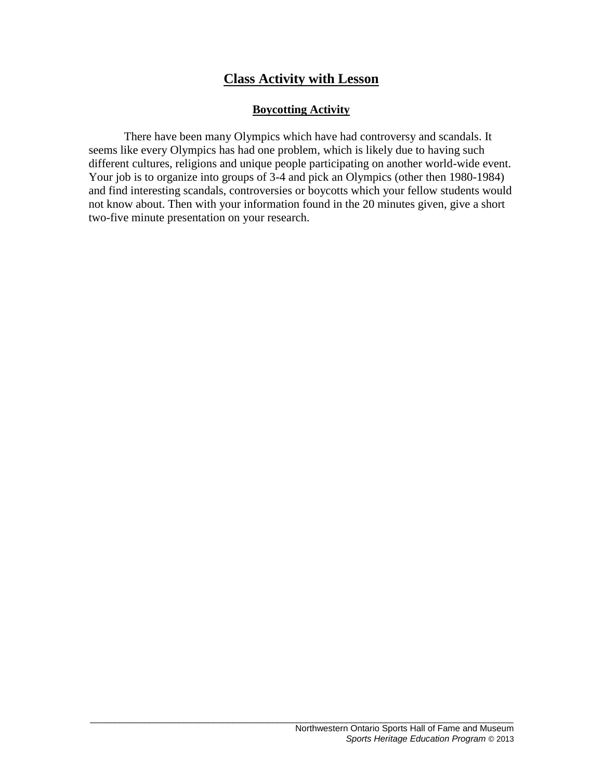## **Class Activity with Lesson**

#### **Boycotting Activity**

There have been many Olympics which have had controversy and scandals. It seems like every Olympics has had one problem, which is likely due to having such different cultures, religions and unique people participating on another world-wide event. Your job is to organize into groups of 3-4 and pick an Olympics (other then 1980-1984) and find interesting scandals, controversies or boycotts which your fellow students would not know about. Then with your information found in the 20 minutes given, give a short two-five minute presentation on your research.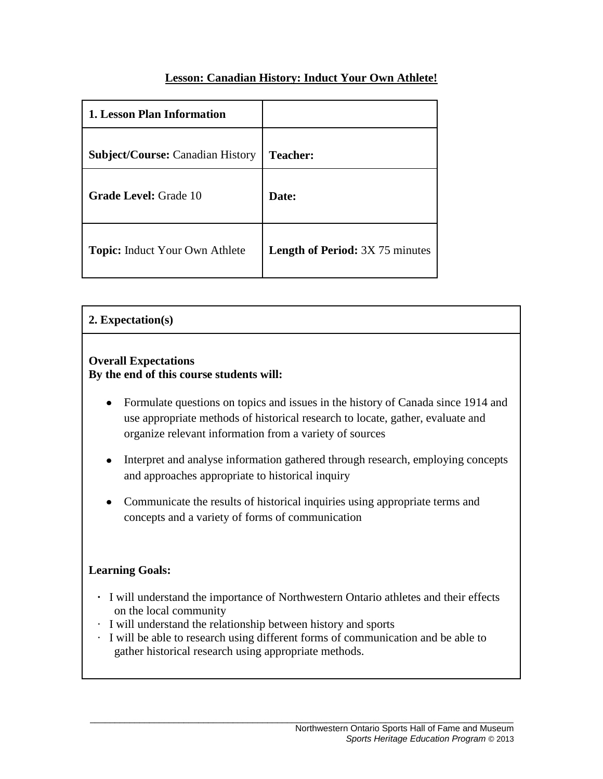## **Lesson: Canadian History: Induct Your Own Athlete!**

| 1. Lesson Plan Information              |                                        |
|-----------------------------------------|----------------------------------------|
| <b>Subject/Course: Canadian History</b> | <b>Teacher:</b>                        |
| <b>Grade Level: Grade 10</b>            | Date:                                  |
| <b>Topic:</b> Induct Your Own Athlete   | <b>Length of Period:</b> 3X 75 minutes |

#### **2. Expectation(s)**

#### **Overall Expectations By the end of this course students will:**

- Formulate questions on topics and issues in the history of Canada since 1914 and  $\bullet$ use appropriate methods of historical research to locate, gather, evaluate and organize relevant information from a variety of sources
- Interpret and analyse information gathered through research, employing concepts and approaches appropriate to historical inquiry
- Communicate the results of historical inquiries using appropriate terms and concepts and a variety of forms of communication

## **Learning Goals:**

- **·** I will understand the importance of Northwestern Ontario athletes and their effects on the local community
- · I will understand the relationship between history and sports
- · I will be able to research using different forms of communication and be able to gather historical research using appropriate methods.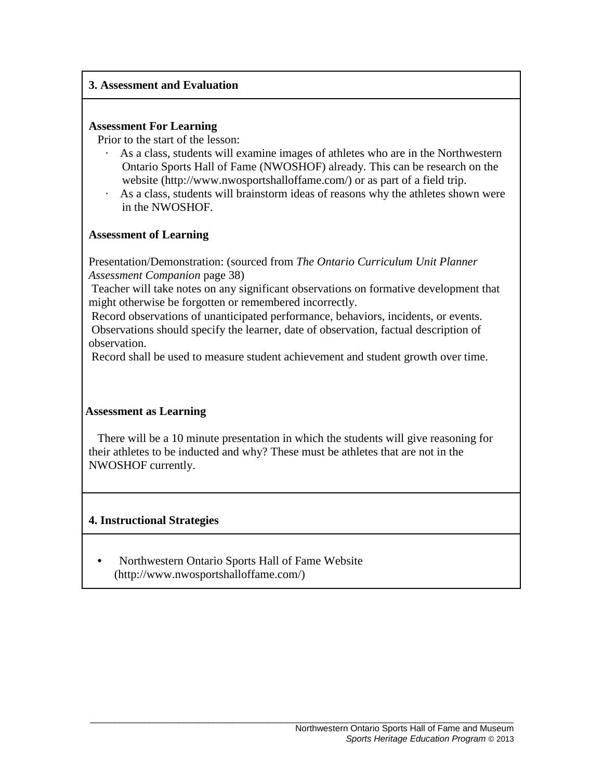#### **3. Assessment and Evaluation**

#### **Assessment For Learning**

Prior to the start of the lesson:

- · As a class, students will examine images of athletes who are in the Northwestern Ontario Sports Hall of Fame (NWOSHOF) already. This can be research on the website (http://www.nwosportshalloffame.com/) or as part of a field trip.
- · As a class, students will brainstorm ideas of reasons why the athletes shown were in the NWOSHOF.

#### **Assessment of Learning**

Presentation/Demonstration: (sourced from *The Ontario Curriculum Unit Planner Assessment Companion* page 38)

Teacher will take notes on any significant observations on formative development that might otherwise be forgotten or remembered incorrectly.

Record observations of unanticipated performance, behaviors, incidents, or events. Observations should specify the learner, date of observation, factual description of observation.

Record shall be used to measure student achievement and student growth over time.

#### **A Assessment as Learning**

There will be a 10 minute presentation in which the students will give reasoning for their athletes to be inducted and why? These must be athletes that are not in the NWOSHOF currently.

\_\_\_\_\_\_\_\_\_\_\_\_\_\_\_\_\_\_\_\_\_\_\_\_\_\_\_\_\_\_\_\_\_\_\_\_\_\_\_\_\_\_\_\_\_\_\_\_\_\_\_\_\_\_\_\_\_\_\_\_\_\_\_\_\_\_\_\_\_\_\_\_\_\_\_\_\_\_\_\_\_\_\_\_\_\_

#### **4. Instructional Strategies**

**•** Northwestern Ontario Sports Hall of Fame Website (http://www.nwosportshalloffame.com/)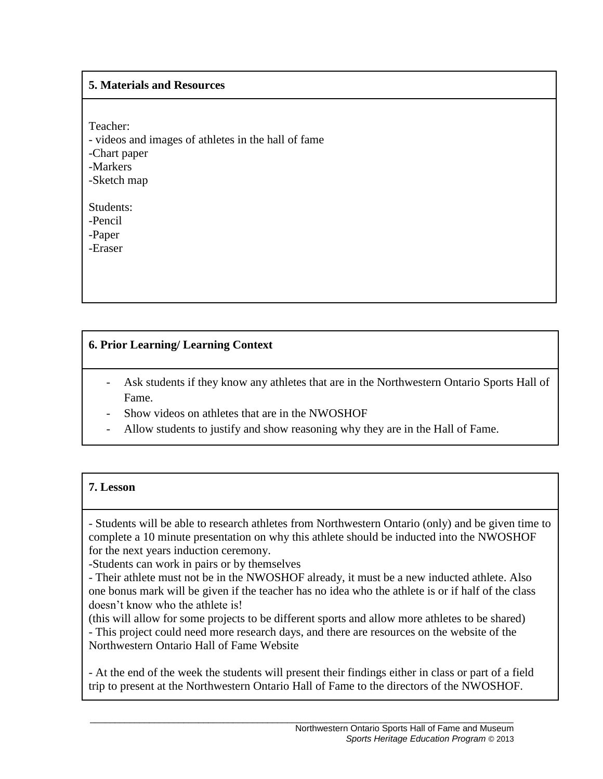#### **5. Materials and Resources**

Teacher:

- videos and images of athletes in the hall of fame -Chart paper

-Markers

-Sketch map

Students:

-Pencil

-Paper

-Eraser

#### **6. Prior Learning/ Learning Context**

- Ask students if they know any athletes that are in the Northwestern Ontario Sports Hall of Fame.
- Show videos on athletes that are in the NWOSHOF
- Allow students to justify and show reasoning why they are in the Hall of Fame.

#### **7. Lesson**

- Students will be able to research athletes from Northwestern Ontario (only) and be given time to complete a 10 minute presentation on why this athlete should be inducted into the NWOSHOF for the next years induction ceremony.

-Students can work in pairs or by themselves

- Their athlete must not be in the NWOSHOF already, it must be a new inducted athlete. Also one bonus mark will be given if the teacher has no idea who the athlete is or if half of the class doesn't know who the athlete is!

(this will allow for some projects to be different sports and allow more athletes to be shared) - This project could need more research days, and there are resources on the website of the Northwestern Ontario Hall of Fame Website

- At the end of the week the students will present their findings either in class or part of a field trip to present at the Northwestern Ontario Hall of Fame to the directors of the NWOSHOF.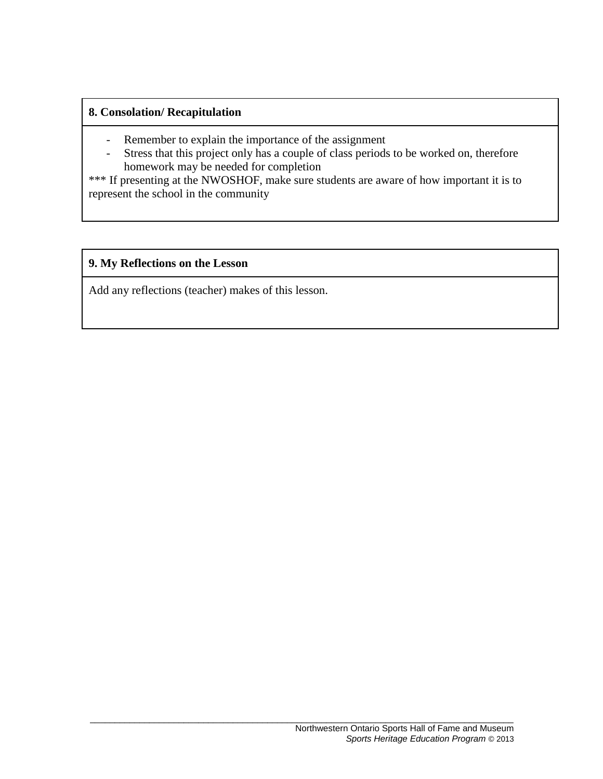#### **8. Consolation/ Recapitulation**

- Remember to explain the importance of the assignment
- Stress that this project only has a couple of class periods to be worked on, therefore homework may be needed for completion

\*\*\* If presenting at the NWOSHOF, make sure students are aware of how important it is to represent the school in the community

#### **9. My Reflections on the Lesson**

Add any reflections (teacher) makes of this lesson.